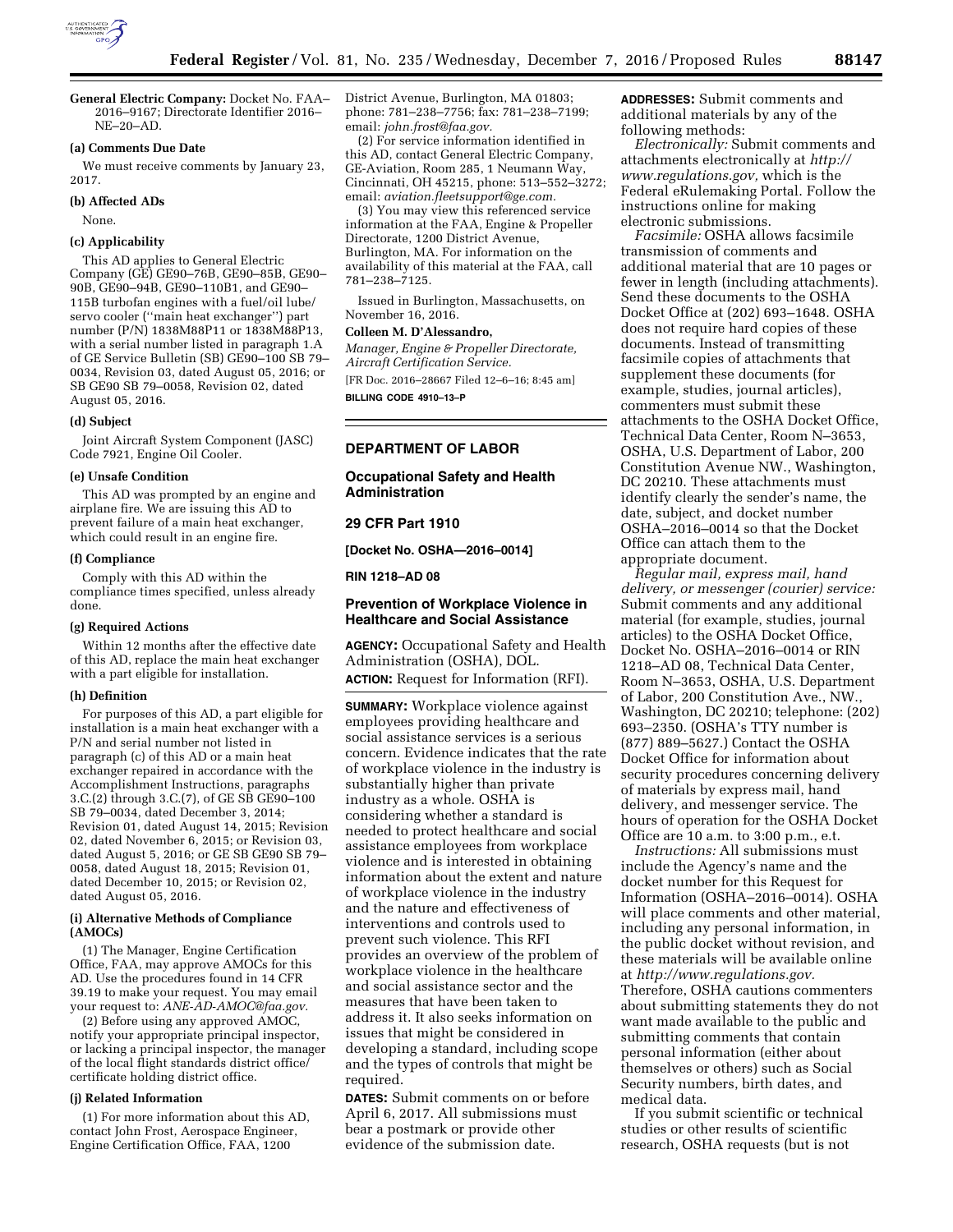

**General Electric Company:** Docket No. FAA– 2016–9167; Directorate Identifier 2016– NE–20–AD.

#### **(a) Comments Due Date**

We must receive comments by January 23, 2017.

#### **(b) Affected ADs**

None.

#### **(c) Applicability**

This AD applies to General Electric Company (GE) GE90–76B, GE90–85B, GE90– 90B, GE90–94B, GE90–110B1, and GE90– 115B turbofan engines with a fuel/oil lube/ servo cooler (''main heat exchanger'') part number (P/N) 1838M88P11 or 1838M88P13, with a serial number listed in paragraph 1.A of GE Service Bulletin (SB) GE90–100 SB 79– 0034, Revision 03, dated August 05, 2016; or SB GE90 SB 79–0058, Revision 02, dated August 05, 2016.

#### **(d) Subject**

Joint Aircraft System Component (JASC) Code 7921, Engine Oil Cooler.

## **(e) Unsafe Condition**

This AD was prompted by an engine and airplane fire. We are issuing this AD to prevent failure of a main heat exchanger, which could result in an engine fire.

#### **(f) Compliance**

Comply with this AD within the compliance times specified, unless already done.

#### **(g) Required Actions**

Within 12 months after the effective date of this AD, replace the main heat exchanger with a part eligible for installation.

#### **(h) Definition**

For purposes of this AD, a part eligible for installation is a main heat exchanger with a P/N and serial number not listed in paragraph (c) of this AD or a main heat exchanger repaired in accordance with the Accomplishment Instructions, paragraphs 3.C.(2) through 3.C.(7), of GE SB GE90–100 SB 79–0034, dated December 3, 2014; Revision 01, dated August 14, 2015; Revision 02, dated November 6, 2015; or Revision 03, dated August 5, 2016; or GE SB GE90 SB 79– 0058, dated August 18, 2015; Revision 01, dated December 10, 2015; or Revision 02, dated August 05, 2016.

### **(i) Alternative Methods of Compliance (AMOCs)**

(1) The Manager, Engine Certification Office, FAA, may approve AMOCs for this AD. Use the procedures found in 14 CFR 39.19 to make your request. You may email your request to: *[ANE-AD-AMOC@faa.gov.](mailto:ANE-AD-AMOC@faa.gov)* 

(2) Before using any approved AMOC, notify your appropriate principal inspector, or lacking a principal inspector, the manager of the local flight standards district office/ certificate holding district office.

### **(j) Related Information**

(1) For more information about this AD, contact John Frost, Aerospace Engineer, Engine Certification Office, FAA, 1200

District Avenue, Burlington, MA 01803; phone: 781–238–7756; fax: 781–238–7199; email: *[john.frost@faa.gov.](mailto:john.frost@faa.gov)* 

(2) For service information identified in this AD, contact General Electric Company, GE-Aviation, Room 285, 1 Neumann Way, Cincinnati, OH 45215, phone: 513–552–3272; email: *[aviation.fleetsupport@ge.com.](mailto:aviation.fleetsupport@ge.com)* 

(3) You may view this referenced service information at the FAA, Engine & Propeller Directorate, 1200 District Avenue, Burlington, MA. For information on the availability of this material at the FAA, call 781–238–7125.

Issued in Burlington, Massachusetts, on November 16, 2016.

#### **Colleen M. D'Alessandro,**

*Manager, Engine & Propeller Directorate, Aircraft Certification Service.* 

[FR Doc. 2016–28667 Filed 12–6–16; 8:45 am] **BILLING CODE 4910–13–P** 

## **DEPARTMENT OF LABOR**

**Occupational Safety and Health Administration** 

**29 CFR Part 1910** 

**[Docket No. OSHA—2016–0014]** 

#### **RIN 1218–AD 08**

# **Prevention of Workplace Violence in Healthcare and Social Assistance**

**AGENCY:** Occupational Safety and Health Administration (OSHA), DOL.

**ACTION:** Request for Information (RFI).

**SUMMARY:** Workplace violence against employees providing healthcare and social assistance services is a serious concern. Evidence indicates that the rate of workplace violence in the industry is substantially higher than private industry as a whole. OSHA is considering whether a standard is needed to protect healthcare and social assistance employees from workplace violence and is interested in obtaining information about the extent and nature of workplace violence in the industry and the nature and effectiveness of interventions and controls used to prevent such violence. This RFI provides an overview of the problem of workplace violence in the healthcare and social assistance sector and the measures that have been taken to address it. It also seeks information on issues that might be considered in developing a standard, including scope and the types of controls that might be required.

**DATES:** Submit comments on or before April 6, 2017. All submissions must bear a postmark or provide other evidence of the submission date.

**ADDRESSES:** Submit comments and additional materials by any of the following methods:

*Electronically:* Submit comments and attachments electronically at *[http://](http://www.regulations.gov) [www.regulations.gov,](http://www.regulations.gov)* which is the Federal eRulemaking Portal. Follow the instructions online for making electronic submissions.

*Facsimile:* OSHA allows facsimile transmission of comments and additional material that are 10 pages or fewer in length (including attachments). Send these documents to the OSHA Docket Office at (202) 693–1648. OSHA does not require hard copies of these documents. Instead of transmitting facsimile copies of attachments that supplement these documents (for example, studies, journal articles), commenters must submit these attachments to the OSHA Docket Office, Technical Data Center, Room N–3653, OSHA, U.S. Department of Labor, 200 Constitution Avenue NW., Washington, DC 20210. These attachments must identify clearly the sender's name, the date, subject, and docket number OSHA–2016–0014 so that the Docket Office can attach them to the appropriate document.

*Regular mail, express mail, hand delivery, or messenger (courier) service:*  Submit comments and any additional material (for example, studies, journal articles) to the OSHA Docket Office, Docket No. OSHA–2016–0014 or RIN 1218–AD 08, Technical Data Center, Room N–3653, OSHA, U.S. Department of Labor, 200 Constitution Ave., NW., Washington, DC 20210; telephone: (202) 693–2350. (OSHA's TTY number is (877) 889–5627.) Contact the OSHA Docket Office for information about security procedures concerning delivery of materials by express mail, hand delivery, and messenger service. The hours of operation for the OSHA Docket Office are 10 a.m. to 3:00 p.m., e.t.

*Instructions:* All submissions must include the Agency's name and the docket number for this Request for Information (OSHA–2016–0014). OSHA will place comments and other material, including any personal information, in the public docket without revision, and these materials will be available online at *[http://www.regulations.gov.](http://www.regulations.gov)*  Therefore, OSHA cautions commenters about submitting statements they do not want made available to the public and submitting comments that contain personal information (either about themselves or others) such as Social Security numbers, birth dates, and medical data.

If you submit scientific or technical studies or other results of scientific research, OSHA requests (but is not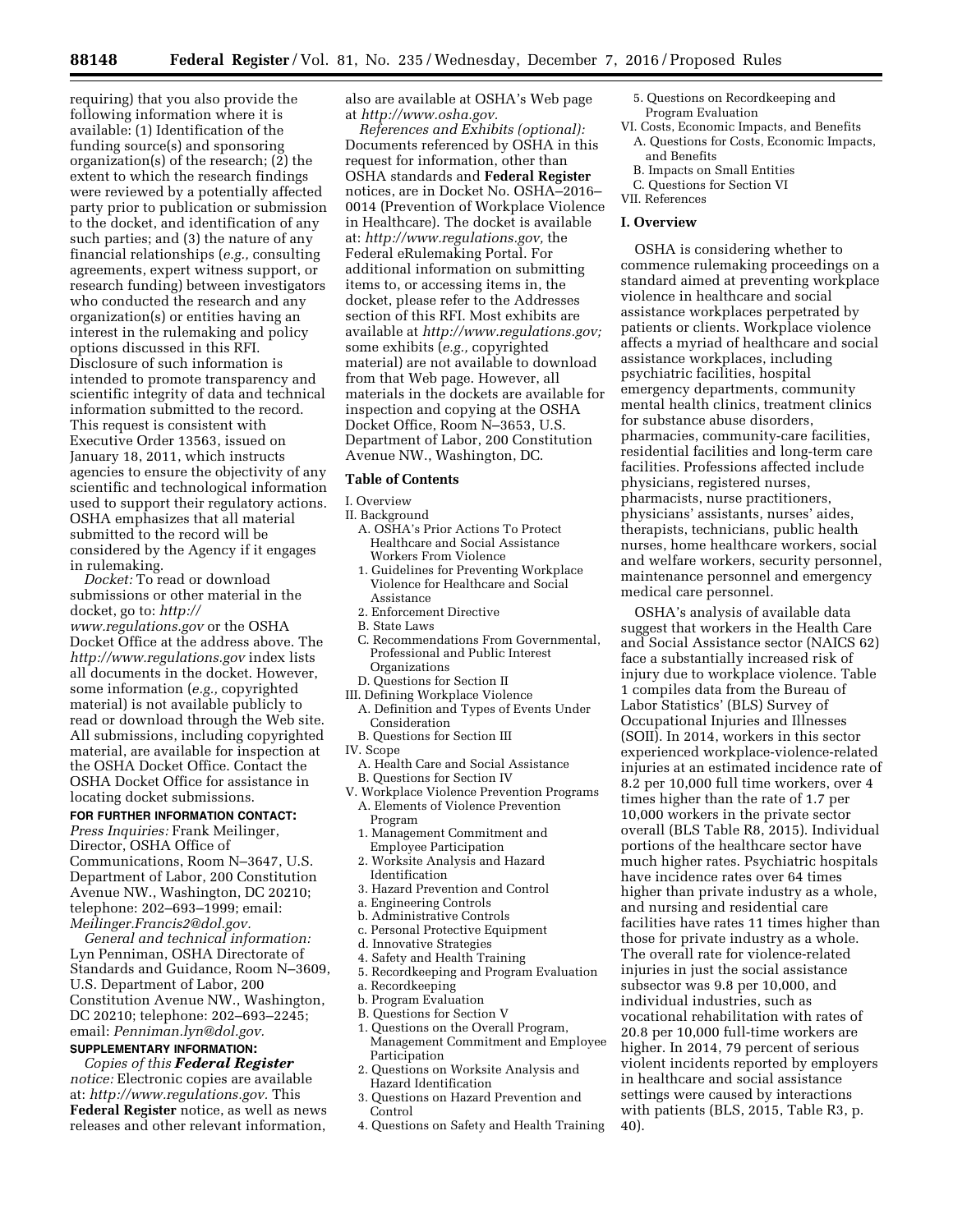requiring) that you also provide the following information where it is available: (1) Identification of the funding source(s) and sponsoring organization(s) of the research;  $(2)$  the extent to which the research findings were reviewed by a potentially affected party prior to publication or submission to the docket, and identification of any such parties; and (3) the nature of any financial relationships (*e.g.,* consulting agreements, expert witness support, or research funding) between investigators who conducted the research and any organization(s) or entities having an interest in the rulemaking and policy options discussed in this RFI. Disclosure of such information is intended to promote transparency and scientific integrity of data and technical information submitted to the record. This request is consistent with Executive Order 13563, issued on January 18, 2011, which instructs agencies to ensure the objectivity of any scientific and technological information used to support their regulatory actions. OSHA emphasizes that all material submitted to the record will be considered by the Agency if it engages in rulemaking.

*Docket:* To read or download submissions or other material in the docket, go to: *[http://](http://www.regulations.gov) [www.regulations.gov](http://www.regulations.gov)* or the OSHA Docket Office at the address above. The *<http://www.regulations.gov>* index lists all documents in the docket. However, some information (*e.g.,* copyrighted material) is not available publicly to read or download through the Web site. All submissions, including copyrighted material, are available for inspection at the OSHA Docket Office. Contact the OSHA Docket Office for assistance in locating docket submissions.

## **FOR FURTHER INFORMATION CONTACT:**

*Press Inquiries:* Frank Meilinger, Director, OSHA Office of Communications, Room N–3647, U.S. Department of Labor, 200 Constitution Avenue NW., Washington, DC 20210; telephone: 202–693–1999; email: *[Meilinger.Francis2@dol.gov.](mailto:Meilinger.Francis2@dol.gov)* 

*General and technical information:*  Lyn Penniman, OSHA Directorate of Standards and Guidance, Room N–3609, U.S. Department of Labor, 200 Constitution Avenue NW., Washington, DC 20210; telephone: 202–693–2245; email: *[Penniman.lyn@dol.gov.](mailto:Penniman.lyn@dol.gov)*  **SUPPLEMENTARY INFORMATION:** 

# *Copies of this Federal Register notice:* Electronic copies are available at: *[http://www.regulations.gov.](http://www.regulations.gov)* This **Federal Register** notice, as well as news

releases and other relevant information,

also are available at OSHA's Web page at *[http://www.osha.gov.](http://www.osha.gov)* 

*References and Exhibits (optional):*  Documents referenced by OSHA in this request for information, other than OSHA standards and **Federal Register**  notices, are in Docket No. OSHA–2016– 0014 (Prevention of Workplace Violence in Healthcare). The docket is available at: *[http://www.regulations.gov,](http://www.regulations.gov)* the Federal eRulemaking Portal. For additional information on submitting items to, or accessing items in, the docket, please refer to the Addresses section of this RFI. Most exhibits are available at *[http://www.regulations.gov;](http://www.regulations.gov)*  some exhibits (*e.g.,* copyrighted material) are not available to download from that Web page. However, all materials in the dockets are available for inspection and copying at the OSHA Docket Office, Room N–3653, U.S. Department of Labor, 200 Constitution Avenue NW., Washington, DC.

## **Table of Contents**

I. Overview

- II. Background
	- A. OSHA's Prior Actions To Protect Healthcare and Social Assistance Workers From Violence
	- 1. Guidelines for Preventing Workplace Violence for Healthcare and Social Assistance
	- 2. Enforcement Directive
- B. State Laws
- C. Recommendations From Governmental, Professional and Public Interest Organizations
- D. Questions for Section II
- III. Defining Workplace Violence A. Definition and Types of Events Under Consideration
	- B. Questions for Section III
- IV. Scope
- A. Health Care and Social Assistance B. Questions for Section IV
- V. Workplace Violence Prevention Programs
- A. Elements of Violence Prevention Program
- 1. Management Commitment and Employee Participation
- 2. Worksite Analysis and Hazard Identification
- 3. Hazard Prevention and Control a. Engineering Controls
- b. Administrative Controls
- c. Personal Protective Equipment
- d. Innovative Strategies
- 4. Safety and Health Training
- 5. Recordkeeping and Program Evaluation
- a. Recordkeeping
- b. Program Evaluation
- B. Questions for Section V
- 1. Questions on the Overall Program, Management Commitment and Employee Participation
- 2. Questions on Worksite Analysis and Hazard Identification
- 3. Questions on Hazard Prevention and Control
- 4. Questions on Safety and Health Training
- 5. Questions on Recordkeeping and Program Evaluation
- VI. Costs, Economic Impacts, and Benefits A. Questions for Costs, Economic Impacts, and Benefits
- B. Impacts on Small Entities
- C. Questions for Section VI
- VII. References

# **I. Overview**

OSHA is considering whether to commence rulemaking proceedings on a standard aimed at preventing workplace violence in healthcare and social assistance workplaces perpetrated by patients or clients. Workplace violence affects a myriad of healthcare and social assistance workplaces, including psychiatric facilities, hospital emergency departments, community mental health clinics, treatment clinics for substance abuse disorders, pharmacies, community-care facilities, residential facilities and long-term care facilities. Professions affected include physicians, registered nurses, pharmacists, nurse practitioners, physicians' assistants, nurses' aides, therapists, technicians, public health nurses, home healthcare workers, social and welfare workers, security personnel, maintenance personnel and emergency medical care personnel.

OSHA's analysis of available data suggest that workers in the Health Care and Social Assistance sector (NAICS 62) face a substantially increased risk of injury due to workplace violence. Table 1 compiles data from the Bureau of Labor Statistics' (BLS) Survey of Occupational Injuries and Illnesses (SOII). In 2014, workers in this sector experienced workplace-violence-related injuries at an estimated incidence rate of 8.2 per 10,000 full time workers, over 4 times higher than the rate of 1.7 per 10,000 workers in the private sector overall (BLS Table R8, 2015). Individual portions of the healthcare sector have much higher rates. Psychiatric hospitals have incidence rates over 64 times higher than private industry as a whole, and nursing and residential care facilities have rates 11 times higher than those for private industry as a whole. The overall rate for violence-related injuries in just the social assistance subsector was 9.8 per 10,000, and individual industries, such as vocational rehabilitation with rates of 20.8 per 10,000 full-time workers are higher. In 2014, 79 percent of serious violent incidents reported by employers in healthcare and social assistance settings were caused by interactions with patients (BLS, 2015, Table R3, p. 40).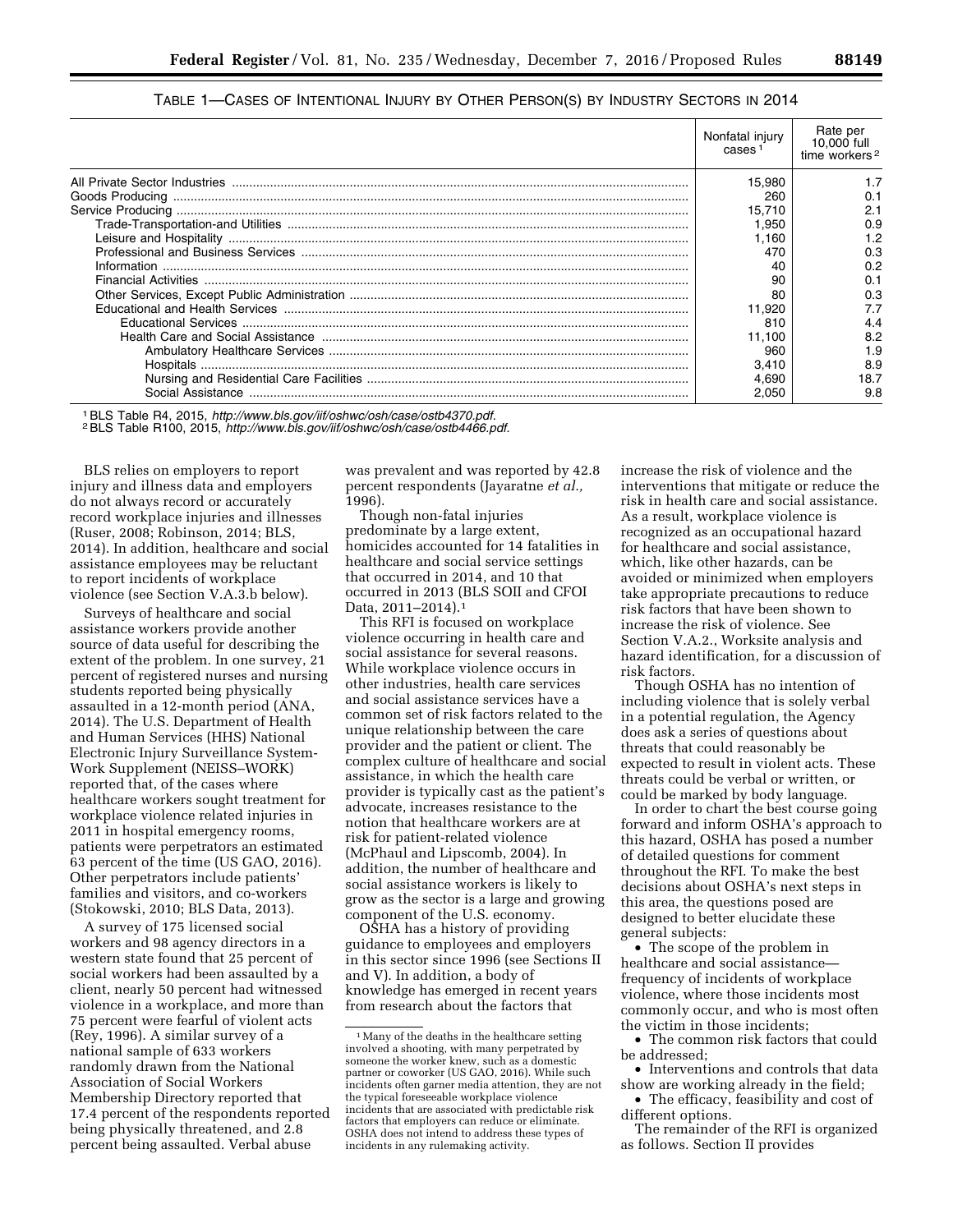# TABLE 1—CASES OF INTENTIONAL INJURY BY OTHER PERSON(S) BY INDUSTRY SECTORS IN 2014

| Nonfatal injury<br>cases | Rate per<br>10,000 full<br>time workers <sup>2</sup> |
|--------------------------|------------------------------------------------------|
| 15.980                   |                                                      |
| 260                      | 0.1                                                  |
| 15.710                   | 2.1                                                  |
| 1.950                    | 0.9                                                  |
| 1.160                    |                                                      |
| 470                      | 0.3                                                  |
| 40                       | 0.2                                                  |
| 90                       | 0.1                                                  |
| 80                       | 0.3                                                  |
| 11.920                   |                                                      |
| 810                      | 4.4                                                  |
| 11.100                   | 8.2                                                  |
| 960                      | 1.9                                                  |
| 3,410                    | 8.9                                                  |
| 4,690                    | 18.7                                                 |
| 2.050                    | 9.8                                                  |

1BLS Table R4, 2015, *[http://www.bls.gov/iif/oshwc/osh/case/ostb4370.pdf.](http://www.bls.gov/iif/oshwc/osh/case/ostb4370.pdf)* 2BLS Table R100, 2015, *[http://www.bls.gov/iif/oshwc/osh/case/ostb4466.pdf.](http://www.bls.gov/iif/oshwc/osh/case/ostb4466.pdf)* 

BLS relies on employers to report injury and illness data and employers do not always record or accurately record workplace injuries and illnesses (Ruser, 2008; Robinson, 2014; BLS, 2014). In addition, healthcare and social assistance employees may be reluctant to report incidents of workplace violence (see Section V.A.3.b below).

Surveys of healthcare and social assistance workers provide another source of data useful for describing the extent of the problem. In one survey, 21 percent of registered nurses and nursing students reported being physically assaulted in a 12-month period (ANA, 2014). The U.S. Department of Health and Human Services (HHS) National Electronic Injury Surveillance System-Work Supplement (NEISS–WORK) reported that, of the cases where healthcare workers sought treatment for workplace violence related injuries in 2011 in hospital emergency rooms, patients were perpetrators an estimated 63 percent of the time (US GAO, 2016). Other perpetrators include patients' families and visitors, and co-workers (Stokowski, 2010; BLS Data, 2013).

A survey of 175 licensed social workers and 98 agency directors in a western state found that 25 percent of social workers had been assaulted by a client, nearly 50 percent had witnessed violence in a workplace, and more than 75 percent were fearful of violent acts (Rey, 1996). A similar survey of a national sample of 633 workers randomly drawn from the National Association of Social Workers Membership Directory reported that 17.4 percent of the respondents reported being physically threatened, and 2.8 percent being assaulted. Verbal abuse

was prevalent and was reported by 42.8 percent respondents (Jayaratne *et al.,*  1996).

Though non-fatal injuries predominate by a large extent, homicides accounted for 14 fatalities in healthcare and social service settings that occurred in 2014, and 10 that occurred in 2013 (BLS SOII and CFOI Data, 2011–2014).<sup>1</sup>

This RFI is focused on workplace violence occurring in health care and social assistance for several reasons. While workplace violence occurs in other industries, health care services and social assistance services have a common set of risk factors related to the unique relationship between the care provider and the patient or client. The complex culture of healthcare and social assistance, in which the health care provider is typically cast as the patient's advocate, increases resistance to the notion that healthcare workers are at risk for patient-related violence (McPhaul and Lipscomb, 2004). In addition, the number of healthcare and social assistance workers is likely to grow as the sector is a large and growing component of the U.S. economy.

OSHA has a history of providing guidance to employees and employers in this sector since 1996 (see Sections II and V). In addition, a body of knowledge has emerged in recent years from research about the factors that

increase the risk of violence and the interventions that mitigate or reduce the risk in health care and social assistance. As a result, workplace violence is recognized as an occupational hazard for healthcare and social assistance, which, like other hazards, can be avoided or minimized when employers take appropriate precautions to reduce risk factors that have been shown to increase the risk of violence. See Section V.A.2., Worksite analysis and hazard identification, for a discussion of risk factors.

Though OSHA has no intention of including violence that is solely verbal in a potential regulation, the Agency does ask a series of questions about threats that could reasonably be expected to result in violent acts. These threats could be verbal or written, or could be marked by body language.

In order to chart the best course going forward and inform OSHA's approach to this hazard, OSHA has posed a number of detailed questions for comment throughout the RFI. To make the best decisions about OSHA's next steps in this area, the questions posed are designed to better elucidate these general subjects:

• The scope of the problem in healthcare and social assistance frequency of incidents of workplace violence, where those incidents most commonly occur, and who is most often the victim in those incidents;

• The common risk factors that could be addressed;

• Interventions and controls that data show are working already in the field;

• The efficacy, feasibility and cost of different options.

The remainder of the RFI is organized as follows. Section II provides

<sup>1</sup>Many of the deaths in the healthcare setting involved a shooting, with many perpetrated by someone the worker knew, such as a domestic partner or coworker (US GAO, 2016). While such incidents often garner media attention, they are not the typical foreseeable workplace violence incidents that are associated with predictable risk factors that employers can reduce or eliminate. OSHA does not intend to address these types of incidents in any rulemaking activity.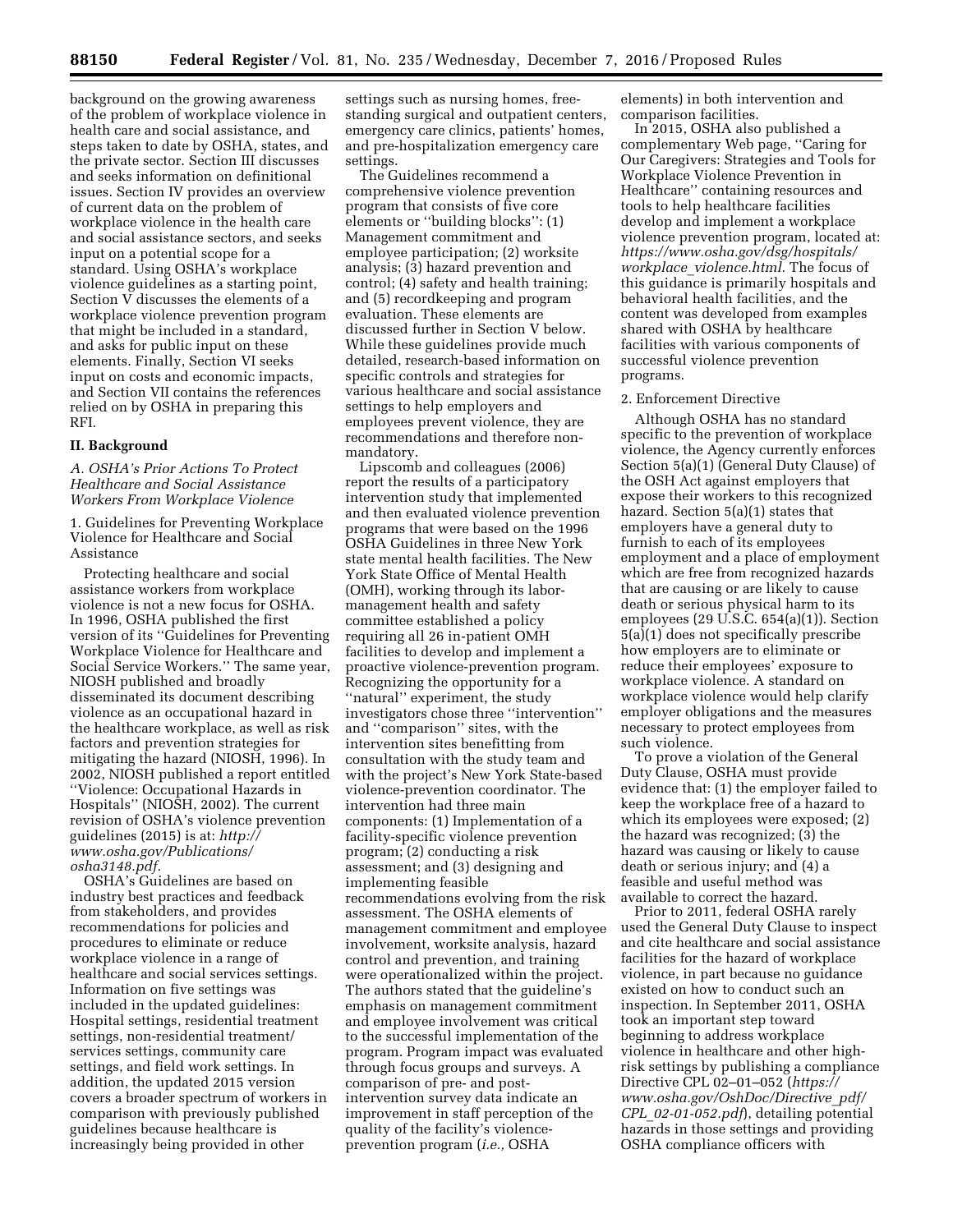background on the growing awareness of the problem of workplace violence in health care and social assistance, and steps taken to date by OSHA, states, and the private sector. Section III discusses and seeks information on definitional issues. Section IV provides an overview of current data on the problem of workplace violence in the health care and social assistance sectors, and seeks input on a potential scope for a standard. Using OSHA's workplace violence guidelines as a starting point, Section V discusses the elements of a workplace violence prevention program that might be included in a standard, and asks for public input on these elements. Finally, Section VI seeks input on costs and economic impacts, and Section VII contains the references relied on by OSHA in preparing this RFI.

### **II. Background**

*A. OSHA's Prior Actions To Protect Healthcare and Social Assistance Workers From Workplace Violence* 

1. Guidelines for Preventing Workplace Violence for Healthcare and Social Assistance

Protecting healthcare and social assistance workers from workplace violence is not a new focus for OSHA. In 1996, OSHA published the first version of its ''Guidelines for Preventing Workplace Violence for Healthcare and Social Service Workers.'' The same year, NIOSH published and broadly disseminated its document describing violence as an occupational hazard in the healthcare workplace, as well as risk factors and prevention strategies for mitigating the hazard (NIOSH, 1996). In 2002, NIOSH published a report entitled ''Violence: Occupational Hazards in Hospitals'' (NIOSH, 2002). The current revision of OSHA's violence prevention guidelines (2015) is at: *[http://](http://www.osha.gov/Publications/osha3148.pdf) [www.osha.gov/Publications/](http://www.osha.gov/Publications/osha3148.pdf)  [osha3148.pdf.](http://www.osha.gov/Publications/osha3148.pdf)* 

OSHA's Guidelines are based on industry best practices and feedback from stakeholders, and provides recommendations for policies and procedures to eliminate or reduce workplace violence in a range of healthcare and social services settings. Information on five settings was included in the updated guidelines: Hospital settings, residential treatment settings, non-residential treatment/ services settings, community care settings, and field work settings. In addition, the updated 2015 version covers a broader spectrum of workers in comparison with previously published guidelines because healthcare is increasingly being provided in other

settings such as nursing homes, freestanding surgical and outpatient centers, emergency care clinics, patients' homes, and pre-hospitalization emergency care settings.

The Guidelines recommend a comprehensive violence prevention program that consists of five core elements or ''building blocks'': (1) Management commitment and employee participation; (2) worksite analysis; (3) hazard prevention and control; (4) safety and health training; and (5) recordkeeping and program evaluation. These elements are discussed further in Section V below. While these guidelines provide much detailed, research-based information on specific controls and strategies for various healthcare and social assistance settings to help employers and employees prevent violence, they are recommendations and therefore nonmandatory.

Lipscomb and colleagues (2006) report the results of a participatory intervention study that implemented and then evaluated violence prevention programs that were based on the 1996 OSHA Guidelines in three New York state mental health facilities. The New York State Office of Mental Health (OMH), working through its labormanagement health and safety committee established a policy requiring all 26 in-patient OMH facilities to develop and implement a proactive violence-prevention program. Recognizing the opportunity for a ''natural'' experiment, the study investigators chose three ''intervention'' and ''comparison'' sites, with the intervention sites benefitting from consultation with the study team and with the project's New York State-based violence-prevention coordinator. The intervention had three main components: (1) Implementation of a facility-specific violence prevention program; (2) conducting a risk assessment; and (3) designing and implementing feasible recommendations evolving from the risk assessment. The OSHA elements of management commitment and employee involvement, worksite analysis, hazard control and prevention, and training were operationalized within the project. The authors stated that the guideline's emphasis on management commitment and employee involvement was critical to the successful implementation of the program. Program impact was evaluated through focus groups and surveys. A comparison of pre- and postintervention survey data indicate an improvement in staff perception of the quality of the facility's violenceprevention program (*i.e.,* OSHA

elements) in both intervention and comparison facilities.

In 2015, OSHA also published a complementary Web page, ''Caring for Our Caregivers: Strategies and Tools for Workplace Violence Prevention in Healthcare'' containing resources and tools to help healthcare facilities develop and implement a workplace violence prevention program, located at: *[https://www.osha.gov/dsg/hospitals/](https://www.osha.gov/dsg/hospitals/workplace_violence.html)  workplace*\_*[violence.html.](https://www.osha.gov/dsg/hospitals/workplace_violence.html)* The focus of this guidance is primarily hospitals and behavioral health facilities, and the content was developed from examples shared with OSHA by healthcare facilities with various components of successful violence prevention programs.

#### 2. Enforcement Directive

Although OSHA has no standard specific to the prevention of workplace violence, the Agency currently enforces Section 5(a)(1) (General Duty Clause) of the OSH Act against employers that expose their workers to this recognized hazard. Section 5(a)(1) states that employers have a general duty to furnish to each of its employees employment and a place of employment which are free from recognized hazards that are causing or are likely to cause death or serious physical harm to its employees (29 U.S.C. 654(a)(1)). Section 5(a)(1) does not specifically prescribe how employers are to eliminate or reduce their employees' exposure to workplace violence. A standard on workplace violence would help clarify employer obligations and the measures necessary to protect employees from such violence.

To prove a violation of the General Duty Clause, OSHA must provide evidence that: (1) the employer failed to keep the workplace free of a hazard to which its employees were exposed; (2) the hazard was recognized; (3) the hazard was causing or likely to cause death or serious injury; and (4) a feasible and useful method was available to correct the hazard.

Prior to 2011, federal OSHA rarely used the General Duty Clause to inspect and cite healthcare and social assistance facilities for the hazard of workplace violence, in part because no guidance existed on how to conduct such an inspection. In September 2011, OSHA took an important step toward beginning to address workplace violence in healthcare and other highrisk settings by publishing a compliance Directive CPL 02–01–052 (*[https://](https://www.osha.gov/OshDoc/Directive_pdf/CPL_02-01-052.pdf) [www.osha.gov/OshDoc/Directive](https://www.osha.gov/OshDoc/Directive_pdf/CPL_02-01-052.pdf)*\_*pdf/ CPL*\_*[02-01-052.pdf](https://www.osha.gov/OshDoc/Directive_pdf/CPL_02-01-052.pdf)*), detailing potential hazards in those settings and providing OSHA compliance officers with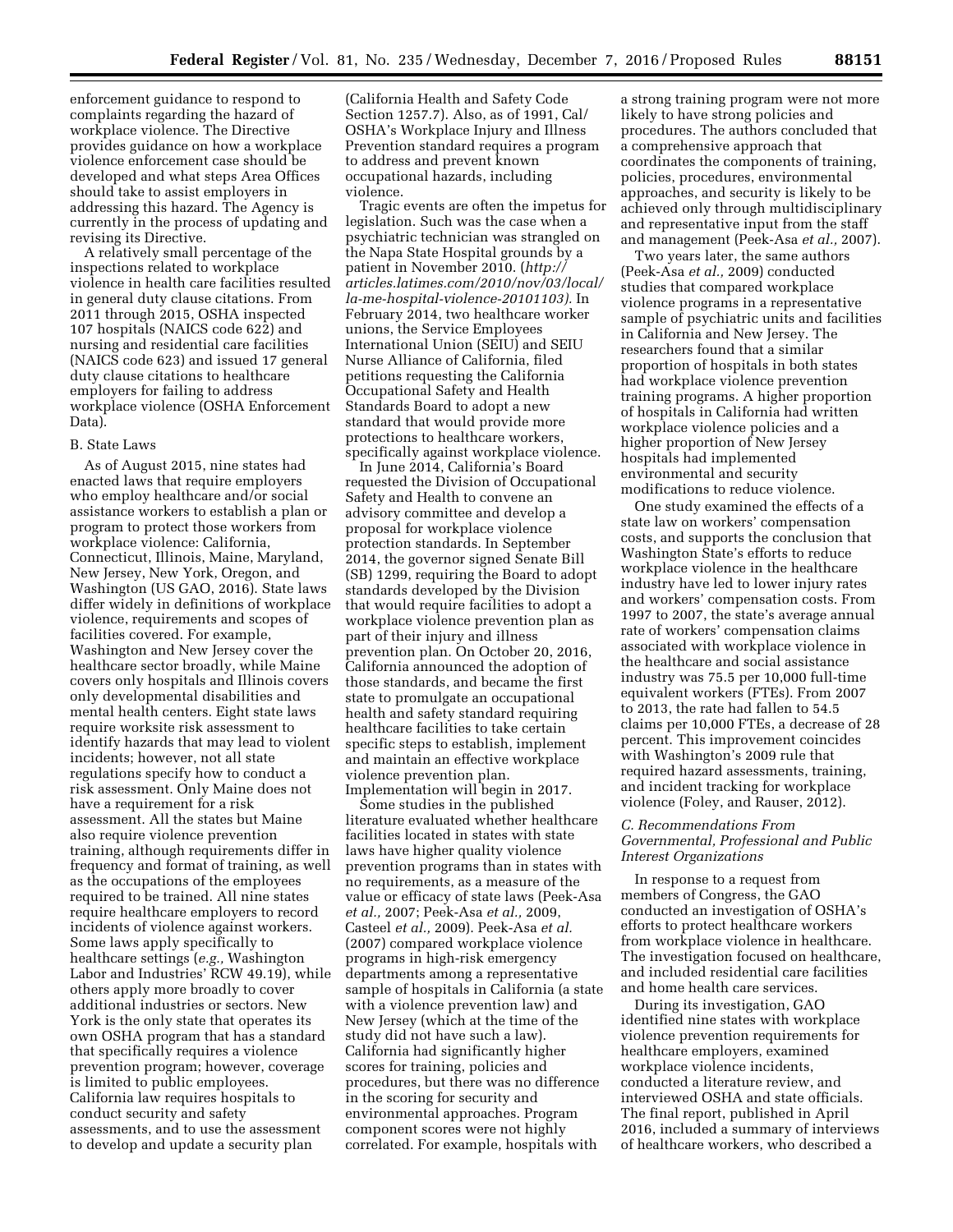enforcement guidance to respond to complaints regarding the hazard of workplace violence. The Directive provides guidance on how a workplace violence enforcement case should be developed and what steps Area Offices should take to assist employers in addressing this hazard. The Agency is currently in the process of updating and revising its Directive.

A relatively small percentage of the inspections related to workplace violence in health care facilities resulted in general duty clause citations. From 2011 through 2015, OSHA inspected 107 hospitals (NAICS code 622) and nursing and residential care facilities (NAICS code 623) and issued 17 general duty clause citations to healthcare employers for failing to address workplace violence (OSHA Enforcement Data).

#### B. State Laws

As of August 2015, nine states had enacted laws that require employers who employ healthcare and/or social assistance workers to establish a plan or program to protect those workers from workplace violence: California, Connecticut, Illinois, Maine, Maryland, New Jersey, New York, Oregon, and Washington (US GAO, 2016). State laws differ widely in definitions of workplace violence, requirements and scopes of facilities covered. For example, Washington and New Jersey cover the healthcare sector broadly, while Maine covers only hospitals and Illinois covers only developmental disabilities and mental health centers. Eight state laws require worksite risk assessment to identify hazards that may lead to violent incidents; however, not all state regulations specify how to conduct a risk assessment. Only Maine does not have a requirement for a risk assessment. All the states but Maine also require violence prevention training, although requirements differ in frequency and format of training, as well as the occupations of the employees required to be trained. All nine states require healthcare employers to record incidents of violence against workers. Some laws apply specifically to healthcare settings (*e.g.,* Washington Labor and Industries' RCW 49.19), while others apply more broadly to cover additional industries or sectors. New York is the only state that operates its own OSHA program that has a standard that specifically requires a violence prevention program; however, coverage is limited to public employees. California law requires hospitals to conduct security and safety assessments, and to use the assessment to develop and update a security plan

(California Health and Safety Code Section 1257.7). Also, as of 1991, Cal/ OSHA's Workplace Injury and Illness Prevention standard requires a program to address and prevent known occupational hazards, including violence.

Tragic events are often the impetus for legislation. Such was the case when a psychiatric technician was strangled on the Napa State Hospital grounds by a patient in November 2010. (*[http://](http://articles.latimes.com/2010/nov/03/local/la-me-hospital-violence-20101103) [articles.latimes.com/2010/nov/03/local/](http://articles.latimes.com/2010/nov/03/local/la-me-hospital-violence-20101103)  [la-me-hospital-violence-20101103\).](http://articles.latimes.com/2010/nov/03/local/la-me-hospital-violence-20101103)* In February 2014, two healthcare worker unions, the Service Employees International Union (SEIU) and SEIU Nurse Alliance of California, filed petitions requesting the California Occupational Safety and Health Standards Board to adopt a new standard that would provide more protections to healthcare workers, specifically against workplace violence.

In June 2014, California's Board requested the Division of Occupational Safety and Health to convene an advisory committee and develop a proposal for workplace violence protection standards. In September 2014, the governor signed Senate Bill (SB) 1299, requiring the Board to adopt standards developed by the Division that would require facilities to adopt a workplace violence prevention plan as part of their injury and illness prevention plan. On October 20, 2016, California announced the adoption of those standards, and became the first state to promulgate an occupational health and safety standard requiring healthcare facilities to take certain specific steps to establish, implement and maintain an effective workplace violence prevention plan. Implementation will begin in 2017.

Some studies in the published literature evaluated whether healthcare facilities located in states with state laws have higher quality violence prevention programs than in states with no requirements, as a measure of the value or efficacy of state laws (Peek-Asa *et al.,* 2007; Peek-Asa *et al.,* 2009, Casteel *et al.,* 2009). Peek-Asa *et al.*  (2007) compared workplace violence programs in high-risk emergency departments among a representative sample of hospitals in California (a state with a violence prevention law) and New Jersey (which at the time of the study did not have such a law). California had significantly higher scores for training, policies and procedures, but there was no difference in the scoring for security and environmental approaches. Program component scores were not highly correlated. For example, hospitals with

a strong training program were not more likely to have strong policies and procedures. The authors concluded that a comprehensive approach that coordinates the components of training, policies, procedures, environmental approaches, and security is likely to be achieved only through multidisciplinary and representative input from the staff and management (Peek-Asa *et al.,* 2007).

Two years later, the same authors (Peek-Asa *et al.,* 2009) conducted studies that compared workplace violence programs in a representative sample of psychiatric units and facilities in California and New Jersey. The researchers found that a similar proportion of hospitals in both states had workplace violence prevention training programs. A higher proportion of hospitals in California had written workplace violence policies and a higher proportion of New Jersey hospitals had implemented environmental and security modifications to reduce violence.

One study examined the effects of a state law on workers' compensation costs, and supports the conclusion that Washington State's efforts to reduce workplace violence in the healthcare industry have led to lower injury rates and workers' compensation costs. From 1997 to 2007, the state's average annual rate of workers' compensation claims associated with workplace violence in the healthcare and social assistance industry was 75.5 per 10,000 full-time equivalent workers (FTEs). From 2007 to 2013, the rate had fallen to 54.5 claims per 10,000 FTEs, a decrease of 28 percent. This improvement coincides with Washington's 2009 rule that required hazard assessments, training, and incident tracking for workplace violence (Foley, and Rauser, 2012).

# *C. Recommendations From Governmental, Professional and Public Interest Organizations*

In response to a request from members of Congress, the GAO conducted an investigation of OSHA's efforts to protect healthcare workers from workplace violence in healthcare. The investigation focused on healthcare, and included residential care facilities and home health care services.

During its investigation, GAO identified nine states with workplace violence prevention requirements for healthcare employers, examined workplace violence incidents, conducted a literature review, and interviewed OSHA and state officials. The final report, published in April 2016, included a summary of interviews of healthcare workers, who described a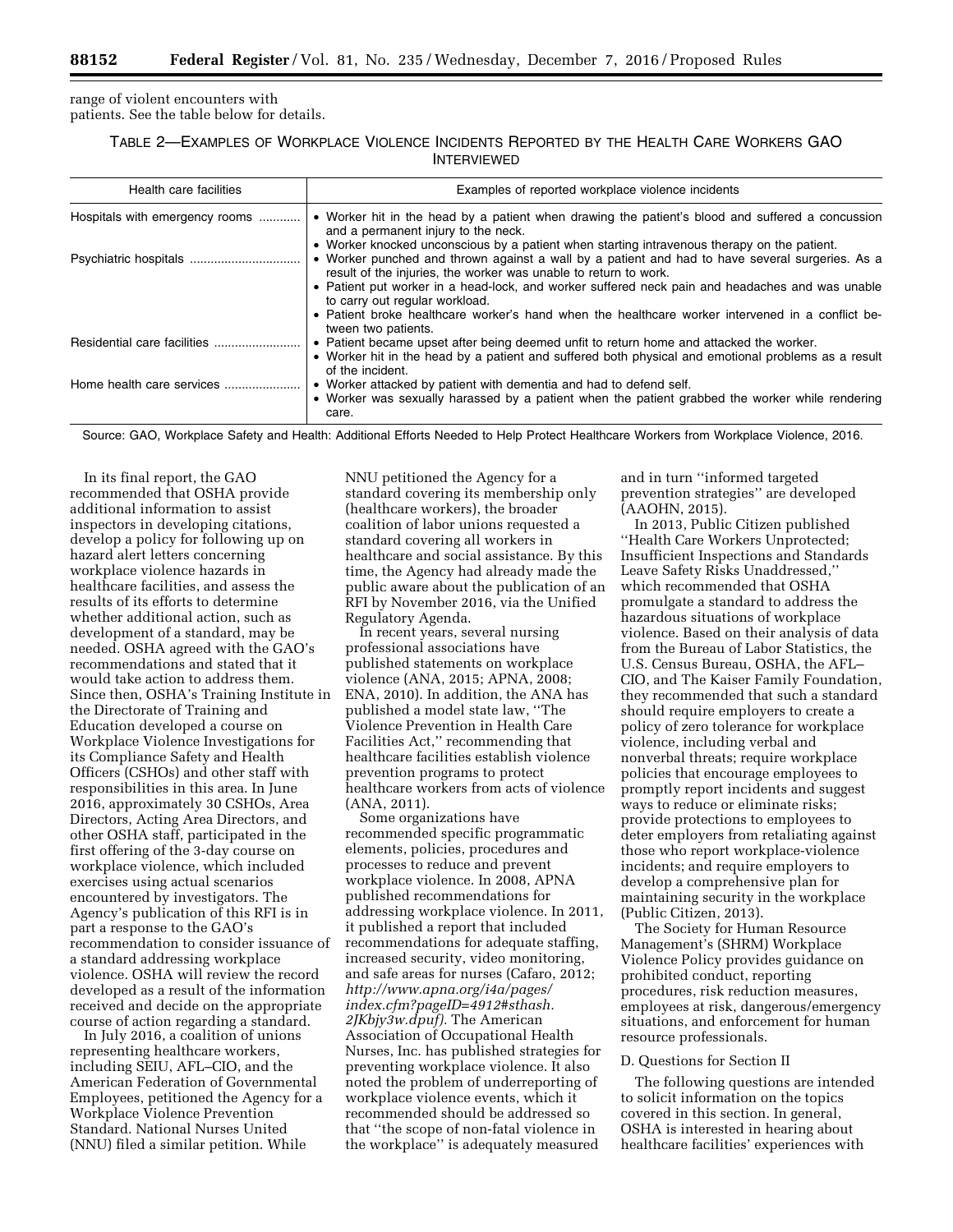range of violent encounters with patients. See the table below for details.

# TABLE 2—EXAMPLES OF WORKPLACE VIOLENCE INCIDENTS REPORTED BY THE HEALTH CARE WORKERS GAO INTERVIEWED

| Health care facilities         | Examples of reported workplace violence incidents                                                                                                                                                                                                                  |
|--------------------------------|--------------------------------------------------------------------------------------------------------------------------------------------------------------------------------------------------------------------------------------------------------------------|
| Hospitals with emergency rooms | • Worker hit in the head by a patient when drawing the patient's blood and suffered a concussion<br>and a permanent injury to the neck.                                                                                                                            |
|                                | • Worker knocked unconscious by a patient when starting intravenous therapy on the patient.<br>• Worker punched and thrown against a wall by a patient and had to have several surgeries. As a<br>result of the injuries, the worker was unable to return to work. |
|                                | • Patient put worker in a head-lock, and worker suffered neck pain and headaches and was unable<br>to carry out regular workload.                                                                                                                                  |
|                                | • Patient broke healthcare worker's hand when the healthcare worker intervened in a conflict be-<br>tween two patients.                                                                                                                                            |
|                                | • Patient became upset after being deemed unfit to return home and attacked the worker.<br>• Worker hit in the head by a patient and suffered both physical and emotional problems as a result<br>of the incident.                                                 |
| Home health care services      | • Worker attacked by patient with dementia and had to defend self.<br>• Worker was sexually harassed by a patient when the patient grabbed the worker while rendering<br>care.                                                                                     |

Source: GAO, Workplace Safety and Health: Additional Efforts Needed to Help Protect Healthcare Workers from Workplace Violence, 2016.

In its final report, the GAO recommended that OSHA provide additional information to assist inspectors in developing citations, develop a policy for following up on hazard alert letters concerning workplace violence hazards in healthcare facilities, and assess the results of its efforts to determine whether additional action, such as development of a standard, may be needed. OSHA agreed with the GAO's recommendations and stated that it would take action to address them. Since then, OSHA's Training Institute in the Directorate of Training and Education developed a course on Workplace Violence Investigations for its Compliance Safety and Health Officers (CSHOs) and other staff with responsibilities in this area. In June 2016, approximately 30 CSHOs, Area Directors, Acting Area Directors, and other OSHA staff, participated in the first offering of the 3-day course on workplace violence, which included exercises using actual scenarios encountered by investigators. The Agency's publication of this RFI is in part a response to the GAO's recommendation to consider issuance of a standard addressing workplace violence. OSHA will review the record developed as a result of the information received and decide on the appropriate course of action regarding a standard.

In July 2016, a coalition of unions representing healthcare workers, including SEIU, AFL–CIO, and the American Federation of Governmental Employees, petitioned the Agency for a Workplace Violence Prevention Standard. National Nurses United (NNU) filed a similar petition. While

NNU petitioned the Agency for a standard covering its membership only (healthcare workers), the broader coalition of labor unions requested a standard covering all workers in healthcare and social assistance. By this time, the Agency had already made the public aware about the publication of an RFI by November 2016, via the Unified Regulatory Agenda.

In recent years, several nursing professional associations have published statements on workplace violence (ANA, 2015; APNA, 2008; ENA, 2010). In addition, the ANA has published a model state law, ''The Violence Prevention in Health Care Facilities Act,'' recommending that healthcare facilities establish violence prevention programs to protect healthcare workers from acts of violence (ANA, 2011).

Some organizations have recommended specific programmatic elements, policies, procedures and processes to reduce and prevent workplace violence. In 2008, APNA published recommendations for addressing workplace violence. In 2011, it published a report that included recommendations for adequate staffing, increased security, video monitoring, and safe areas for nurses (Cafaro, 2012; *[http://www.apna.org/i4a/pages/](http://www.apna.org/i4a/pages/index.cfm?pageID=4912#sthash.2JKbjy3w.dpuf)  [index.cfm?pageID=4912#sthash.](http://www.apna.org/i4a/pages/index.cfm?pageID=4912#sthash.2JKbjy3w.dpuf) [2JKbjy3w.dpuf\).](http://www.apna.org/i4a/pages/index.cfm?pageID=4912#sthash.2JKbjy3w.dpuf)* The American Association of Occupational Health Nurses, Inc. has published strategies for preventing workplace violence. It also noted the problem of underreporting of workplace violence events, which it recommended should be addressed so that ''the scope of non-fatal violence in the workplace'' is adequately measured

and in turn ''informed targeted prevention strategies'' are developed (AAOHN, 2015).

In 2013, Public Citizen published ''Health Care Workers Unprotected; Insufficient Inspections and Standards Leave Safety Risks Unaddressed,'' which recommended that OSHA promulgate a standard to address the hazardous situations of workplace violence. Based on their analysis of data from the Bureau of Labor Statistics, the U.S. Census Bureau, OSHA, the AFL– CIO, and The Kaiser Family Foundation, they recommended that such a standard should require employers to create a policy of zero tolerance for workplace violence, including verbal and nonverbal threats; require workplace policies that encourage employees to promptly report incidents and suggest ways to reduce or eliminate risks; provide protections to employees to deter employers from retaliating against those who report workplace-violence incidents; and require employers to develop a comprehensive plan for maintaining security in the workplace (Public Citizen, 2013).

The Society for Human Resource Management's (SHRM) Workplace Violence Policy provides guidance on prohibited conduct, reporting procedures, risk reduction measures, employees at risk, dangerous/emergency situations, and enforcement for human resource professionals.

## D. Questions for Section II

The following questions are intended to solicit information on the topics covered in this section. In general, OSHA is interested in hearing about healthcare facilities' experiences with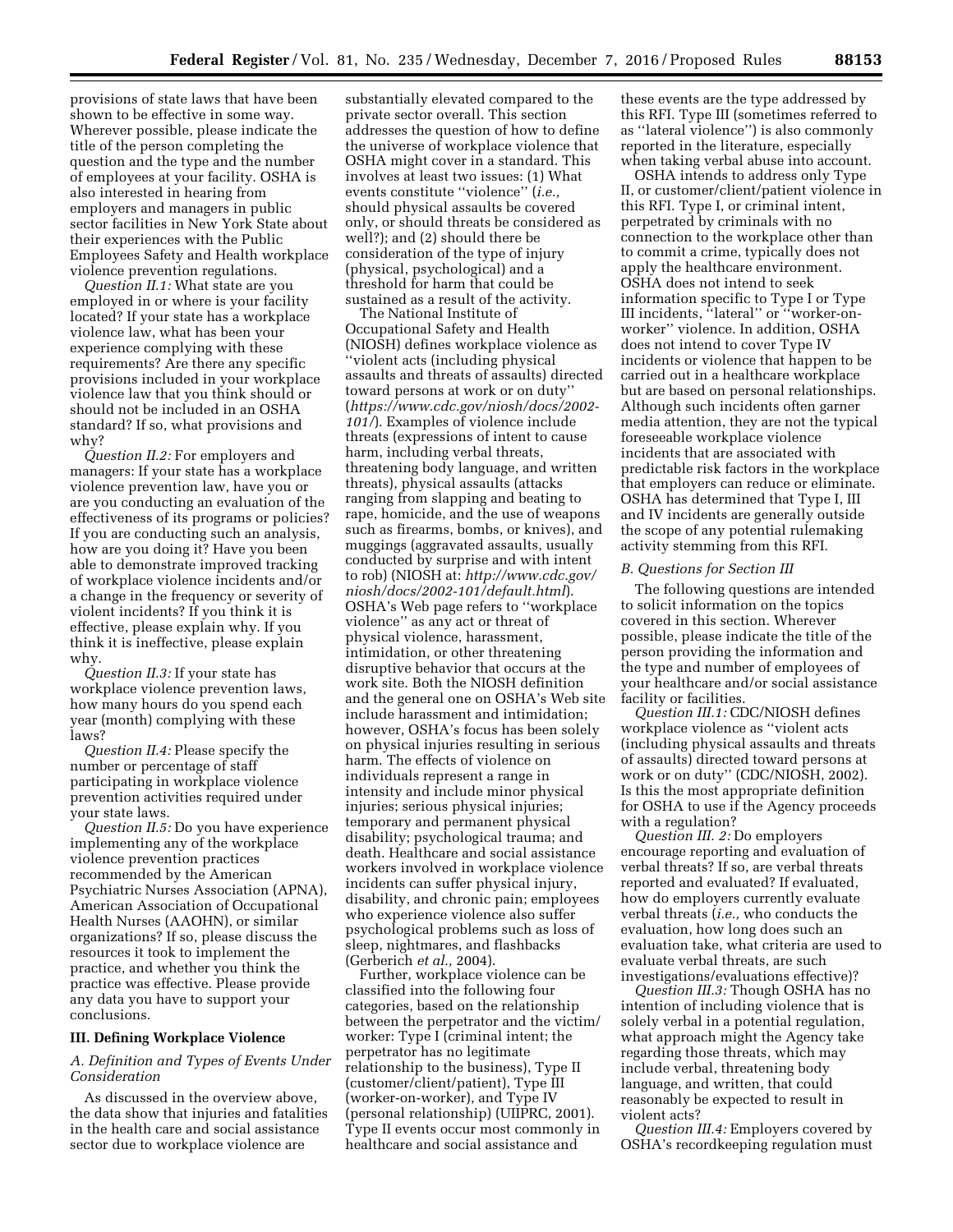provisions of state laws that have been shown to be effective in some way. Wherever possible, please indicate the title of the person completing the question and the type and the number of employees at your facility. OSHA is also interested in hearing from employers and managers in public sector facilities in New York State about their experiences with the Public Employees Safety and Health workplace violence prevention regulations.

*Question II.1:* What state are you employed in or where is your facility located? If your state has a workplace violence law, what has been your experience complying with these requirements? Are there any specific provisions included in your workplace violence law that you think should or should not be included in an OSHA standard? If so, what provisions and why?

*Question II.2:* For employers and managers: If your state has a workplace violence prevention law, have you or are you conducting an evaluation of the effectiveness of its programs or policies? If you are conducting such an analysis, how are you doing it? Have you been able to demonstrate improved tracking of workplace violence incidents and/or a change in the frequency or severity of violent incidents? If you think it is effective, please explain why. If you think it is ineffective, please explain why.

*Question II.3:* If your state has workplace violence prevention laws, how many hours do you spend each year (month) complying with these laws?

*Question II.4:* Please specify the number or percentage of staff participating in workplace violence prevention activities required under your state laws.

*Question II.5:* Do you have experience implementing any of the workplace violence prevention practices recommended by the American Psychiatric Nurses Association (APNA), American Association of Occupational Health Nurses (AAOHN), or similar organizations? If so, please discuss the resources it took to implement the practice, and whether you think the practice was effective. Please provide any data you have to support your conclusions.

### **III. Defining Workplace Violence**

# *A. Definition and Types of Events Under Consideration*

As discussed in the overview above, the data show that injuries and fatalities in the health care and social assistance sector due to workplace violence are

substantially elevated compared to the private sector overall. This section addresses the question of how to define the universe of workplace violence that OSHA might cover in a standard. This involves at least two issues: (1) What events constitute ''violence'' (*i.e.,*  should physical assaults be covered only, or should threats be considered as well?); and (2) should there be consideration of the type of injury (physical, psychological) and a threshold for harm that could be sustained as a result of the activity.

The National Institute of Occupational Safety and Health (NIOSH) defines workplace violence as ''violent acts (including physical assaults and threats of assaults) directed toward persons at work or on duty'' (*[https://www.cdc.gov/niosh/docs/2002-](https://www.cdc.gov/niosh/docs/2002-101/) [101/](https://www.cdc.gov/niosh/docs/2002-101/)*). Examples of violence include threats (expressions of intent to cause harm, including verbal threats, threatening body language, and written threats), physical assaults (attacks ranging from slapping and beating to rape, homicide, and the use of weapons such as firearms, bombs, or knives), and muggings (aggravated assaults, usually conducted by surprise and with intent to rob) (NIOSH at: *[http://www.cdc.gov/](http://www.cdc.gov/niosh/docs/2002-101/default.html) [niosh/docs/2002-101/default.html](http://www.cdc.gov/niosh/docs/2002-101/default.html)*). OSHA's Web page refers to ''workplace violence'' as any act or threat of physical violence, harassment, intimidation, or other threatening disruptive behavior that occurs at the work site. Both the NIOSH definition and the general one on OSHA's Web site include harassment and intimidation; however, OSHA's focus has been solely on physical injuries resulting in serious harm. The effects of violence on individuals represent a range in intensity and include minor physical injuries; serious physical injuries; temporary and permanent physical disability; psychological trauma; and death. Healthcare and social assistance workers involved in workplace violence incidents can suffer physical injury, disability, and chronic pain; employees who experience violence also suffer psychological problems such as loss of sleep, nightmares, and flashbacks (Gerberich *et al.,* 2004).

Further, workplace violence can be classified into the following four categories, based on the relationship between the perpetrator and the victim/ worker: Type I (criminal intent; the perpetrator has no legitimate relationship to the business), Type II (customer/client/patient), Type III (worker-on-worker), and Type IV (personal relationship) (UIIPRC, 2001). Type II events occur most commonly in healthcare and social assistance and

these events are the type addressed by this RFI. Type III (sometimes referred to as ''lateral violence'') is also commonly reported in the literature, especially when taking verbal abuse into account.

OSHA intends to address only Type II, or customer/client/patient violence in this RFI. Type I, or criminal intent, perpetrated by criminals with no connection to the workplace other than to commit a crime, typically does not apply the healthcare environment. OSHA does not intend to seek information specific to Type I or Type III incidents, ''lateral'' or ''worker-onworker'' violence. In addition, OSHA does not intend to cover Type IV incidents or violence that happen to be carried out in a healthcare workplace but are based on personal relationships. Although such incidents often garner media attention, they are not the typical foreseeable workplace violence incidents that are associated with predictable risk factors in the workplace that employers can reduce or eliminate. OSHA has determined that Type I, III and IV incidents are generally outside the scope of any potential rulemaking activity stemming from this RFI.

#### *B. Questions for Section III*

The following questions are intended to solicit information on the topics covered in this section. Wherever possible, please indicate the title of the person providing the information and the type and number of employees of your healthcare and/or social assistance facility or facilities.

*Question III.1:* CDC/NIOSH defines workplace violence as ''violent acts (including physical assaults and threats of assaults) directed toward persons at work or on duty'' (CDC/NIOSH, 2002). Is this the most appropriate definition for OSHA to use if the Agency proceeds with a regulation?

*Question III. 2:* Do employers encourage reporting and evaluation of verbal threats? If so, are verbal threats reported and evaluated? If evaluated, how do employers currently evaluate verbal threats (*i.e.,* who conducts the evaluation, how long does such an evaluation take, what criteria are used to evaluate verbal threats, are such investigations/evaluations effective)?

*Question III.3:* Though OSHA has no intention of including violence that is solely verbal in a potential regulation, what approach might the Agency take regarding those threats, which may include verbal, threatening body language, and written, that could reasonably be expected to result in violent acts?

*Question III.4:* Employers covered by OSHA's recordkeeping regulation must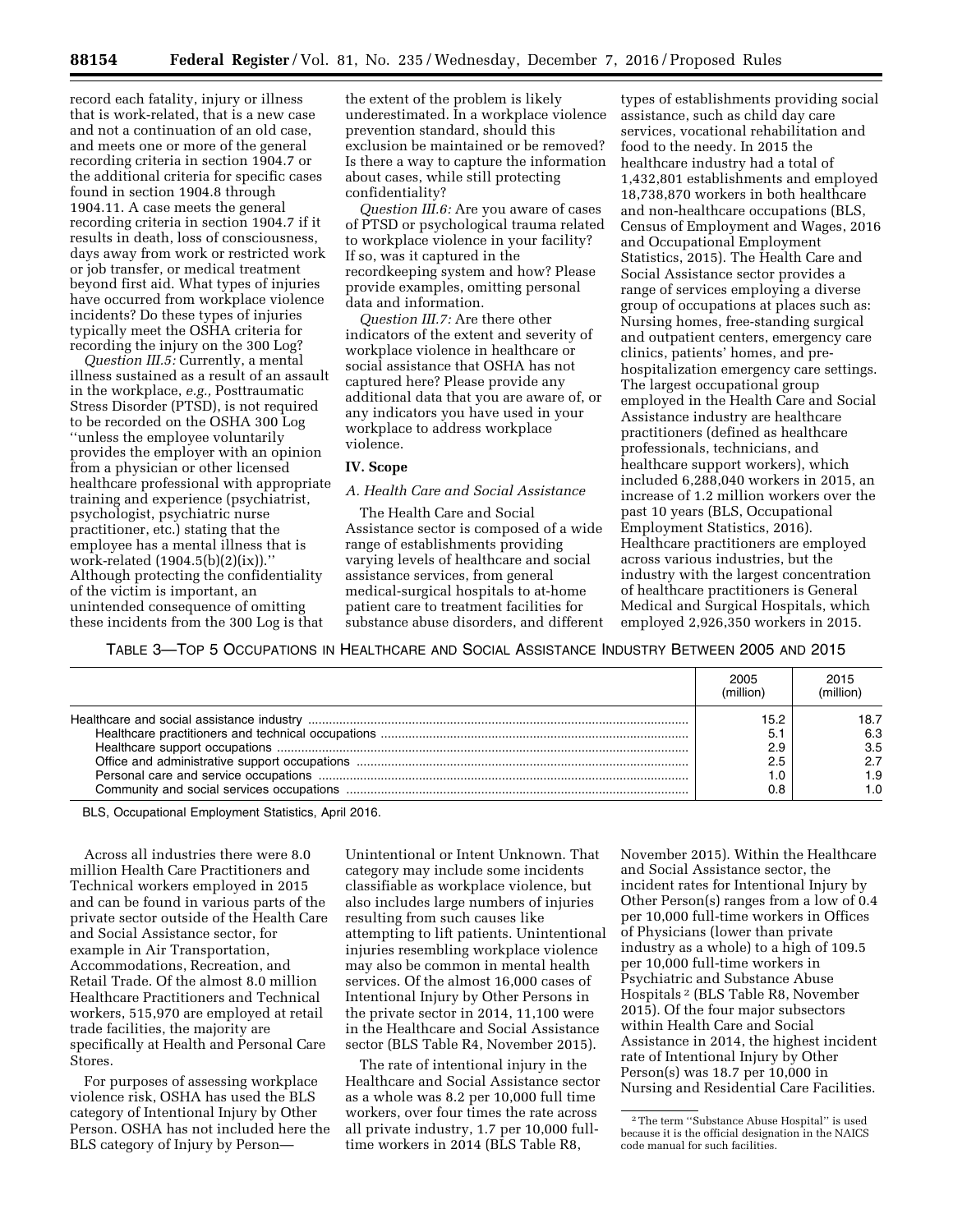record each fatality, injury or illness that is work-related, that is a new case and not a continuation of an old case, and meets one or more of the general recording criteria in section 1904.7 or the additional criteria for specific cases found in section 1904.8 through 1904.11. A case meets the general recording criteria in section 1904.7 if it results in death, loss of consciousness, days away from work or restricted work or job transfer, or medical treatment beyond first aid. What types of injuries have occurred from workplace violence incidents? Do these types of injuries typically meet the OSHA criteria for recording the injury on the 300 Log?

*Question III.5:* Currently, a mental illness sustained as a result of an assault in the workplace, *e.g.,* Posttraumatic Stress Disorder (PTSD), is not required to be recorded on the OSHA 300 Log ''unless the employee voluntarily provides the employer with an opinion from a physician or other licensed healthcare professional with appropriate training and experience (psychiatrist, psychologist, psychiatric nurse practitioner, etc.) stating that the employee has a mental illness that is work-related (1904.5(b)(2)(ix)).'' Although protecting the confidentiality of the victim is important, an unintended consequence of omitting these incidents from the 300 Log is that

the extent of the problem is likely underestimated. In a workplace violence prevention standard, should this exclusion be maintained or be removed? Is there a way to capture the information about cases, while still protecting confidentiality?

*Question III.6:* Are you aware of cases of PTSD or psychological trauma related to workplace violence in your facility? If so, was it captured in the recordkeeping system and how? Please provide examples, omitting personal data and information.

*Question III.7:* Are there other indicators of the extent and severity of workplace violence in healthcare or social assistance that OSHA has not captured here? Please provide any additional data that you are aware of, or any indicators you have used in your workplace to address workplace violence.

# **IV. Scope**

# *A. Health Care and Social Assistance*

The Health Care and Social Assistance sector is composed of a wide range of establishments providing varying levels of healthcare and social assistance services, from general medical-surgical hospitals to at-home patient care to treatment facilities for substance abuse disorders, and different

types of establishments providing social assistance, such as child day care services, vocational rehabilitation and food to the needy. In 2015 the healthcare industry had a total of 1,432,801 establishments and employed 18,738,870 workers in both healthcare and non-healthcare occupations (BLS, Census of Employment and Wages, 2016 and Occupational Employment Statistics, 2015). The Health Care and Social Assistance sector provides a range of services employing a diverse group of occupations at places such as: Nursing homes, free-standing surgical and outpatient centers, emergency care clinics, patients' homes, and prehospitalization emergency care settings. The largest occupational group employed in the Health Care and Social Assistance industry are healthcare practitioners (defined as healthcare professionals, technicians, and healthcare support workers), which included 6,288,040 workers in 2015, an increase of 1.2 million workers over the past 10 years (BLS, Occupational Employment Statistics, 2016). Healthcare practitioners are employed across various industries, but the industry with the largest concentration of healthcare practitioners is General Medical and Surgical Hospitals, which employed 2,926,350 workers in 2015.

TABLE 3—TOP 5 OCCUPATIONS IN HEALTHCARE AND SOCIAL ASSISTANCE INDUSTRY BETWEEN 2005 AND 2015

| 2005<br>(million`         | 2015<br>(million)                |
|---------------------------|----------------------------------|
| 15.2<br>5.1<br>2.9<br>2.5 | 18.7<br>6.3<br>3.5<br>2.7<br>1.9 |

BLS, Occupational Employment Statistics, April 2016.

Across all industries there were 8.0 million Health Care Practitioners and Technical workers employed in 2015 and can be found in various parts of the private sector outside of the Health Care and Social Assistance sector, for example in Air Transportation, Accommodations, Recreation, and Retail Trade. Of the almost 8.0 million Healthcare Practitioners and Technical workers, 515,970 are employed at retail trade facilities, the majority are specifically at Health and Personal Care Stores.

For purposes of assessing workplace violence risk, OSHA has used the BLS category of Intentional Injury by Other Person. OSHA has not included here the BLS category of Injury by Person—

Unintentional or Intent Unknown. That category may include some incidents classifiable as workplace violence, but also includes large numbers of injuries resulting from such causes like attempting to lift patients. Unintentional injuries resembling workplace violence may also be common in mental health services. Of the almost 16,000 cases of Intentional Injury by Other Persons in the private sector in 2014, 11,100 were in the Healthcare and Social Assistance sector (BLS Table R4, November 2015).

The rate of intentional injury in the Healthcare and Social Assistance sector as a whole was 8.2 per 10,000 full time workers, over four times the rate across all private industry, 1.7 per 10,000 fulltime workers in 2014 (BLS Table R8,

November 2015). Within the Healthcare and Social Assistance sector, the incident rates for Intentional Injury by Other Person(s) ranges from a low of 0.4 per 10,000 full-time workers in Offices of Physicians (lower than private industry as a whole) to a high of 109.5 per 10,000 full-time workers in Psychiatric and Substance Abuse Hospitals 2 (BLS Table R8, November 2015). Of the four major subsectors within Health Care and Social Assistance in 2014, the highest incident rate of Intentional Injury by Other Person(s) was 18.7 per 10,000 in Nursing and Residential Care Facilities.

<sup>2</sup>The term ''Substance Abuse Hospital'' is used because it is the official designation in the NAICS code manual for such facilities.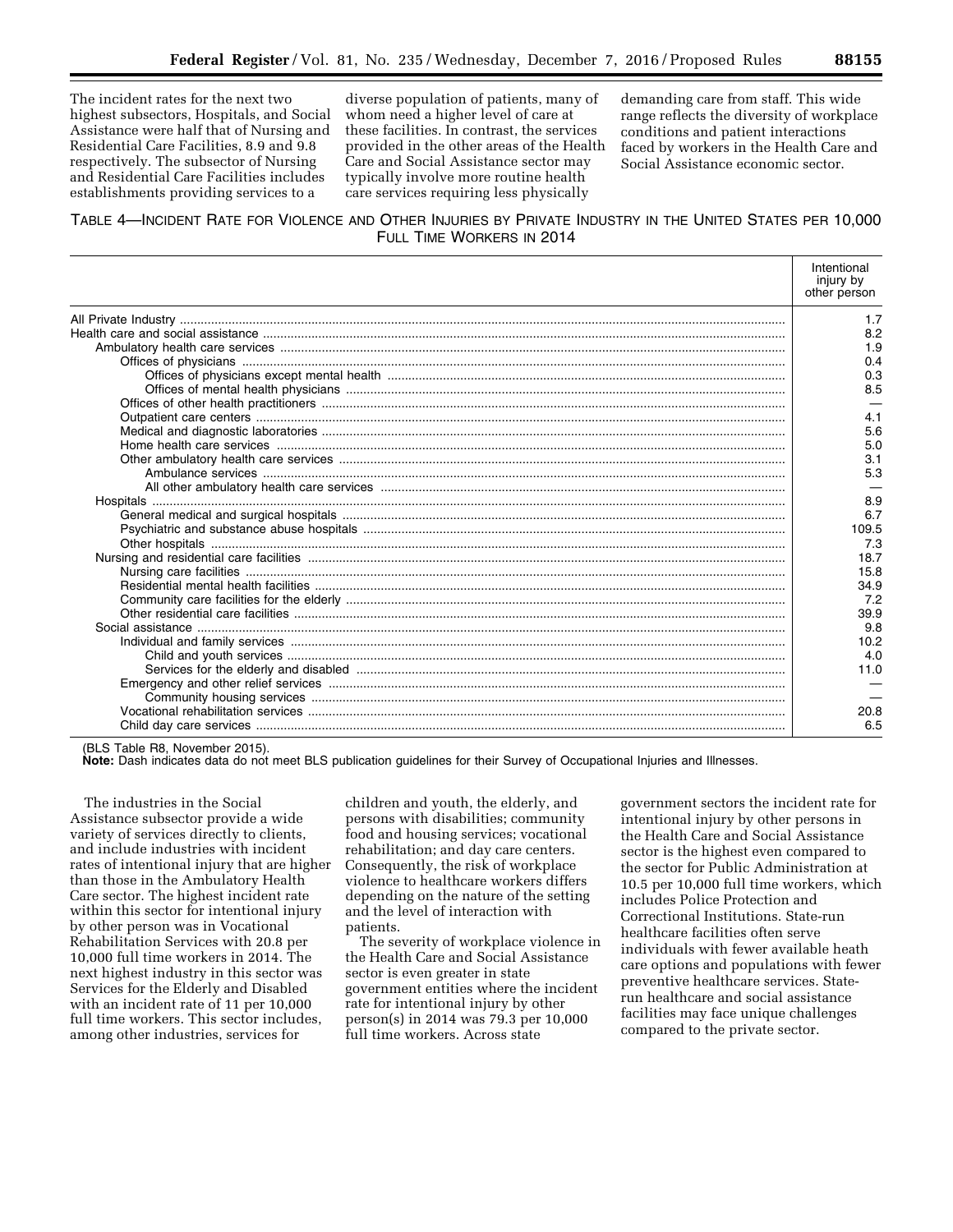The incident rates for the next two highest subsectors, Hospitals, and Social Assistance were half that of Nursing and Residential Care Facilities, 8.9 and 9.8 respectively. The subsector of Nursing and Residential Care Facilities includes establishments providing services to a

diverse population of patients, many of whom need a higher level of care at these facilities. In contrast, the services provided in the other areas of the Health Care and Social Assistance sector may typically involve more routine health care services requiring less physically

demanding care from staff. This wide range reflects the diversity of workplace conditions and patient interactions faced by workers in the Health Care and Social Assistance economic sector.

# TABLE 4—INCIDENT RATE FOR VIOLENCE AND OTHER INJURIES BY PRIVATE INDUSTRY IN THE UNITED STATES PER 10,000 FULL TIME WORKERS IN 2014

| Intentional<br>injury by<br>other person |
|------------------------------------------|
| 1.7                                      |
| 8.2                                      |
| 1.9                                      |
| 0.4                                      |
| 0.3                                      |
| 8.5                                      |
|                                          |
| 4.1                                      |
| 5.6                                      |
| 5.0                                      |
| 3.1                                      |
| 5.3                                      |
|                                          |
| 8.9                                      |
| 6.7                                      |
| 109.5                                    |
| 7.3                                      |
| 18.7                                     |
| 15.8                                     |
| 34.9                                     |
| 7.2                                      |
| 39.9                                     |
| 9.8                                      |
| 10.2                                     |
| 4.0                                      |
| 11.0                                     |
|                                          |
|                                          |
| 20.8                                     |
| 6.5                                      |

(BLS Table R8, November 2015).

**Note:** Dash indicates data do not meet BLS publication guidelines for their Survey of Occupational Injuries and Illnesses.

The industries in the Social Assistance subsector provide a wide variety of services directly to clients, and include industries with incident rates of intentional injury that are higher than those in the Ambulatory Health Care sector. The highest incident rate within this sector for intentional injury by other person was in Vocational Rehabilitation Services with 20.8 per 10,000 full time workers in 2014. The next highest industry in this sector was Services for the Elderly and Disabled with an incident rate of 11 per 10,000 full time workers. This sector includes, among other industries, services for

children and youth, the elderly, and persons with disabilities; community food and housing services; vocational rehabilitation; and day care centers. Consequently, the risk of workplace violence to healthcare workers differs depending on the nature of the setting and the level of interaction with patients.

The severity of workplace violence in the Health Care and Social Assistance sector is even greater in state government entities where the incident rate for intentional injury by other person(s) in 2014 was 79.3 per 10,000 full time workers. Across state

government sectors the incident rate for intentional injury by other persons in the Health Care and Social Assistance sector is the highest even compared to the sector for Public Administration at 10.5 per 10,000 full time workers, which includes Police Protection and Correctional Institutions. State-run healthcare facilities often serve individuals with fewer available heath care options and populations with fewer preventive healthcare services. Staterun healthcare and social assistance facilities may face unique challenges compared to the private sector.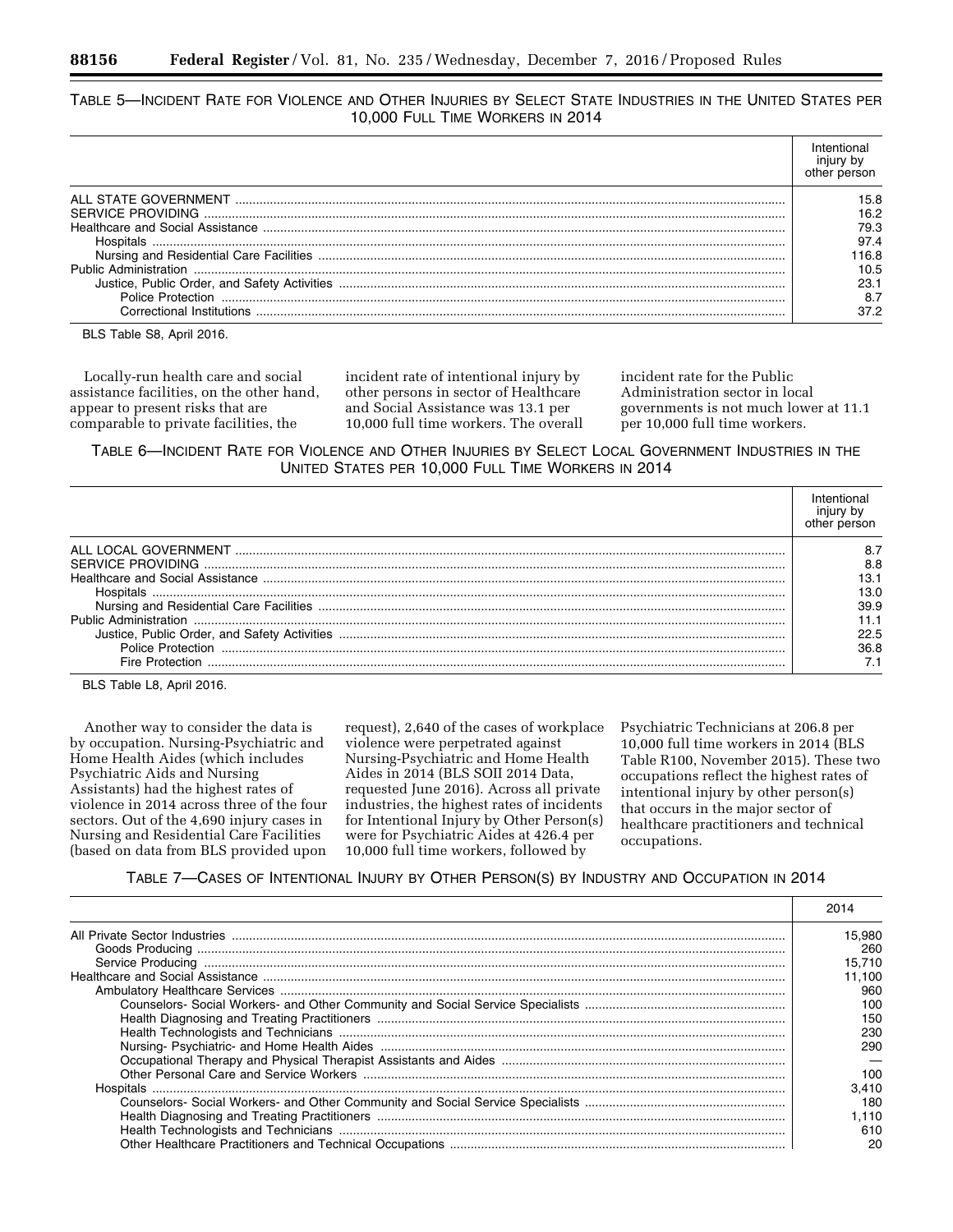# TABLE 5—INCIDENT RATE FOR VIOLENCE AND OTHER INJURIES BY SELECT STATE INDUSTRIES IN THE UNITED STATES PER 10,000 FULL TIME WORKERS IN 2014

|                                                                                                                                                                                                                                     | other ne |
|-------------------------------------------------------------------------------------------------------------------------------------------------------------------------------------------------------------------------------------|----------|
|                                                                                                                                                                                                                                     | 15.8     |
|                                                                                                                                                                                                                                     | 16.2     |
|                                                                                                                                                                                                                                     | 79.3     |
| Hospitals                                                                                                                                                                                                                           | 97.4     |
|                                                                                                                                                                                                                                     | 16.8     |
| Public Administration <b>contracts</b> and contracts and contracts and contracts and contracts and contracts and contracts and contracts and contracts and contracts and contracts and contracts and contracts and contracts and co | 10.5     |
|                                                                                                                                                                                                                                     | 23.7     |
|                                                                                                                                                                                                                                     | 8.7      |
| Correctional Institutions                                                                                                                                                                                                           |          |

BLS Table S8, April 2016.

Locally-run health care and social assistance facilities, on the other hand, appear to present risks that are comparable to private facilities, the

incident rate of intentional injury by other persons in sector of Healthcare and Social Assistance was 13.1 per 10,000 full time workers. The overall incident rate for the Public Administration sector in local governments is not much lower at 11.1 per 10,000 full time workers.

TABLE 6—INCIDENT RATE FOR VIOLENCE AND OTHER INJURIES BY SELECT LOCAL GOVERNMENT INDUSTRIES IN THE UNITED STATES PER 10,000 FULL TIME WORKERS IN 2014

|                                                                                                                                               | other per |
|-----------------------------------------------------------------------------------------------------------------------------------------------|-----------|
|                                                                                                                                               | 8.7       |
|                                                                                                                                               | 8.8       |
|                                                                                                                                               | 13.1      |
|                                                                                                                                               | 13.0      |
|                                                                                                                                               | 39.9      |
| <u> El propio de la propio de la propio de la propio de la propio de la propio de la propio de la propio de la p</u><br>Public Administration | 11.1      |
|                                                                                                                                               | 22.5      |
|                                                                                                                                               | 36.8      |
| <b>Fire Protection</b>                                                                                                                        |           |

BLS Table L8, April 2016.

Another way to consider the data is by occupation. Nursing-Psychiatric and Home Health Aides (which includes Psychiatric Aids and Nursing Assistants) had the highest rates of violence in 2014 across three of the four sectors. Out of the 4,690 injury cases in Nursing and Residential Care Facilities (based on data from BLS provided upon

request), 2,640 of the cases of workplace violence were perpetrated against Nursing-Psychiatric and Home Health Aides in 2014 (BLS SOII 2014 Data, requested June 2016). Across all private industries, the highest rates of incidents for Intentional Injury by Other Person(s) were for Psychiatric Aides at 426.4 per 10,000 full time workers, followed by

Psychiatric Technicians at 206.8 per 10,000 full time workers in 2014 (BLS Table R100, November 2015). These two occupations reflect the highest rates of intentional injury by other person(s) that occurs in the major sector of healthcare practitioners and technical occupations.

 $2014$ 

TABLE 7—CASES OF INTENTIONAL INJURY BY OTHER PERSON(S) BY INDUSTRY AND OCCUPATION IN 2014

| 2014   |
|--------|
| 15.980 |
| 260    |
| 15.710 |
| 11.100 |
| 960    |
| 100    |
| 150    |
| 230    |
| 290    |
|        |
| 100    |
| 3.410  |
| 180    |
| 1.110  |
| 610    |
| 20     |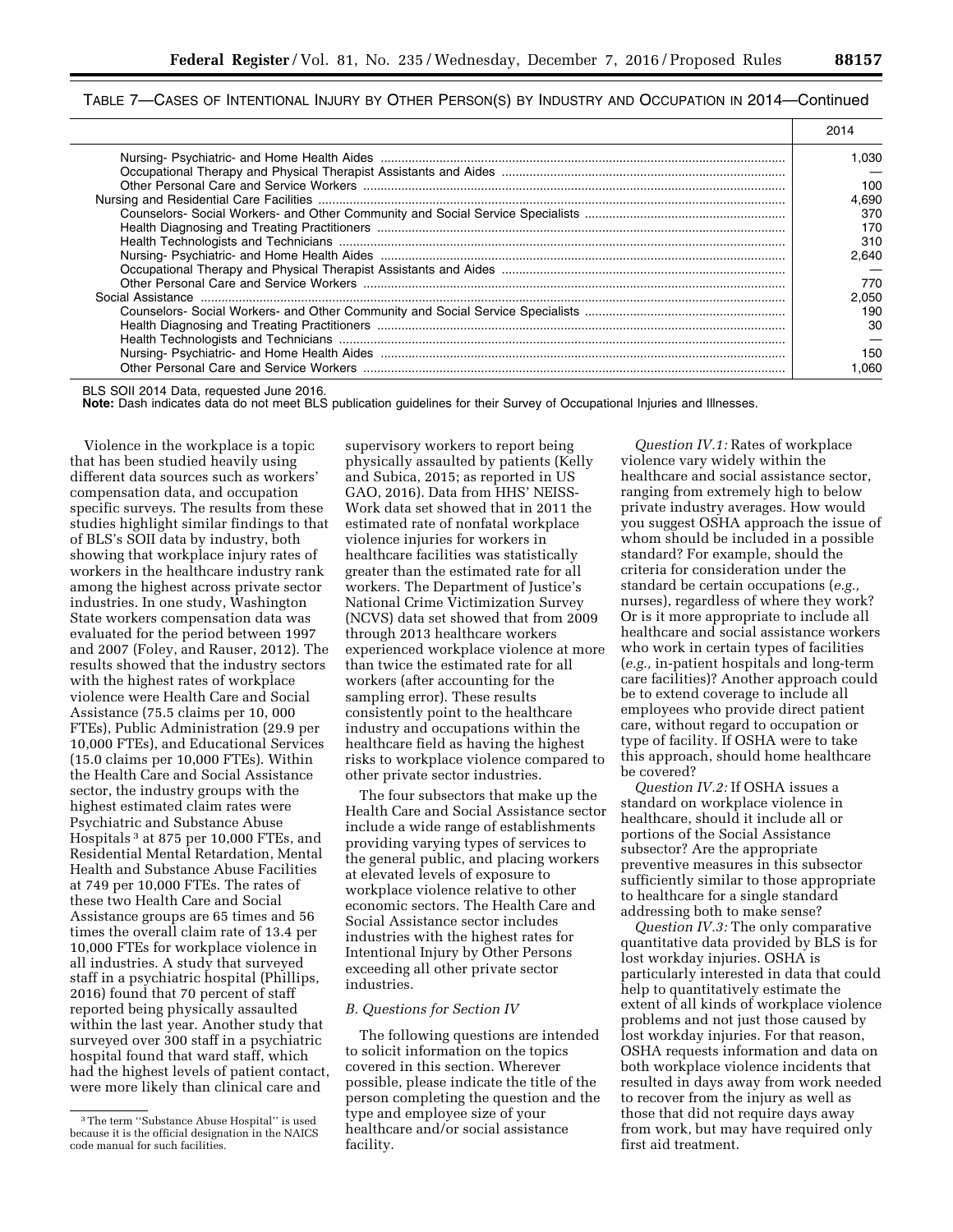| 2014  |
|-------|
| .030  |
|       |
| 100   |
| 4.690 |
| 370   |
| 170   |
| 310   |
| 2.640 |
|       |
| 770   |
| 2.050 |
| 190   |
| 30    |
|       |
| 150   |
| .060  |

BLS SOII 2014 Data, requested June 2016.

**Note:** Dash indicates data do not meet BLS publication guidelines for their Survey of Occupational Injuries and Illnesses.

Violence in the workplace is a topic that has been studied heavily using different data sources such as workers' compensation data, and occupation specific surveys. The results from these studies highlight similar findings to that of BLS's SOII data by industry, both showing that workplace injury rates of workers in the healthcare industry rank among the highest across private sector industries. In one study, Washington State workers compensation data was evaluated for the period between 1997 and 2007 (Foley, and Rauser, 2012). The results showed that the industry sectors with the highest rates of workplace violence were Health Care and Social Assistance (75.5 claims per 10, 000 FTEs), Public Administration (29.9 per 10,000 FTEs), and Educational Services (15.0 claims per 10,000 FTEs). Within the Health Care and Social Assistance sector, the industry groups with the highest estimated claim rates were Psychiatric and Substance Abuse Hospitals 3 at 875 per 10,000 FTEs, and Residential Mental Retardation, Mental Health and Substance Abuse Facilities at 749 per 10,000 FTEs. The rates of these two Health Care and Social Assistance groups are 65 times and 56 times the overall claim rate of 13.4 per 10,000 FTEs for workplace violence in all industries. A study that surveyed staff in a psychiatric hospital (Phillips, 2016) found that 70 percent of staff reported being physically assaulted within the last year. Another study that surveyed over 300 staff in a psychiatric hospital found that ward staff, which had the highest levels of patient contact, were more likely than clinical care and

supervisory workers to report being physically assaulted by patients (Kelly and Subica, 2015; as reported in US GAO, 2016). Data from HHS' NEISS-Work data set showed that in 2011 the estimated rate of nonfatal workplace violence injuries for workers in healthcare facilities was statistically greater than the estimated rate for all workers. The Department of Justice's National Crime Victimization Survey (NCVS) data set showed that from 2009 through 2013 healthcare workers experienced workplace violence at more than twice the estimated rate for all workers (after accounting for the sampling error). These results consistently point to the healthcare industry and occupations within the healthcare field as having the highest risks to workplace violence compared to other private sector industries.

The four subsectors that make up the Health Care and Social Assistance sector include a wide range of establishments providing varying types of services to the general public, and placing workers at elevated levels of exposure to workplace violence relative to other economic sectors. The Health Care and Social Assistance sector includes industries with the highest rates for Intentional Injury by Other Persons exceeding all other private sector industries.

### *B. Questions for Section IV*

The following questions are intended to solicit information on the topics covered in this section. Wherever possible, please indicate the title of the person completing the question and the type and employee size of your healthcare and/or social assistance facility.

*Question IV.1:* Rates of workplace violence vary widely within the healthcare and social assistance sector, ranging from extremely high to below private industry averages. How would you suggest OSHA approach the issue of whom should be included in a possible standard? For example, should the criteria for consideration under the standard be certain occupations (*e.g.,*  nurses), regardless of where they work? Or is it more appropriate to include all healthcare and social assistance workers who work in certain types of facilities (*e.g.,* in-patient hospitals and long-term care facilities)? Another approach could be to extend coverage to include all employees who provide direct patient care, without regard to occupation or type of facility. If OSHA were to take this approach, should home healthcare be covered?

*Question IV.2:* If OSHA issues a standard on workplace violence in healthcare, should it include all or portions of the Social Assistance subsector? Are the appropriate preventive measures in this subsector sufficiently similar to those appropriate to healthcare for a single standard addressing both to make sense?

*Question IV.3:* The only comparative quantitative data provided by BLS is for lost workday injuries. OSHA is particularly interested in data that could help to quantitatively estimate the extent of all kinds of workplace violence problems and not just those caused by lost workday injuries. For that reason, OSHA requests information and data on both workplace violence incidents that resulted in days away from work needed to recover from the injury as well as those that did not require days away from work, but may have required only first aid treatment.

<sup>3</sup>The term ''Substance Abuse Hospital'' is used because it is the official designation in the NAICS code manual for such facilities.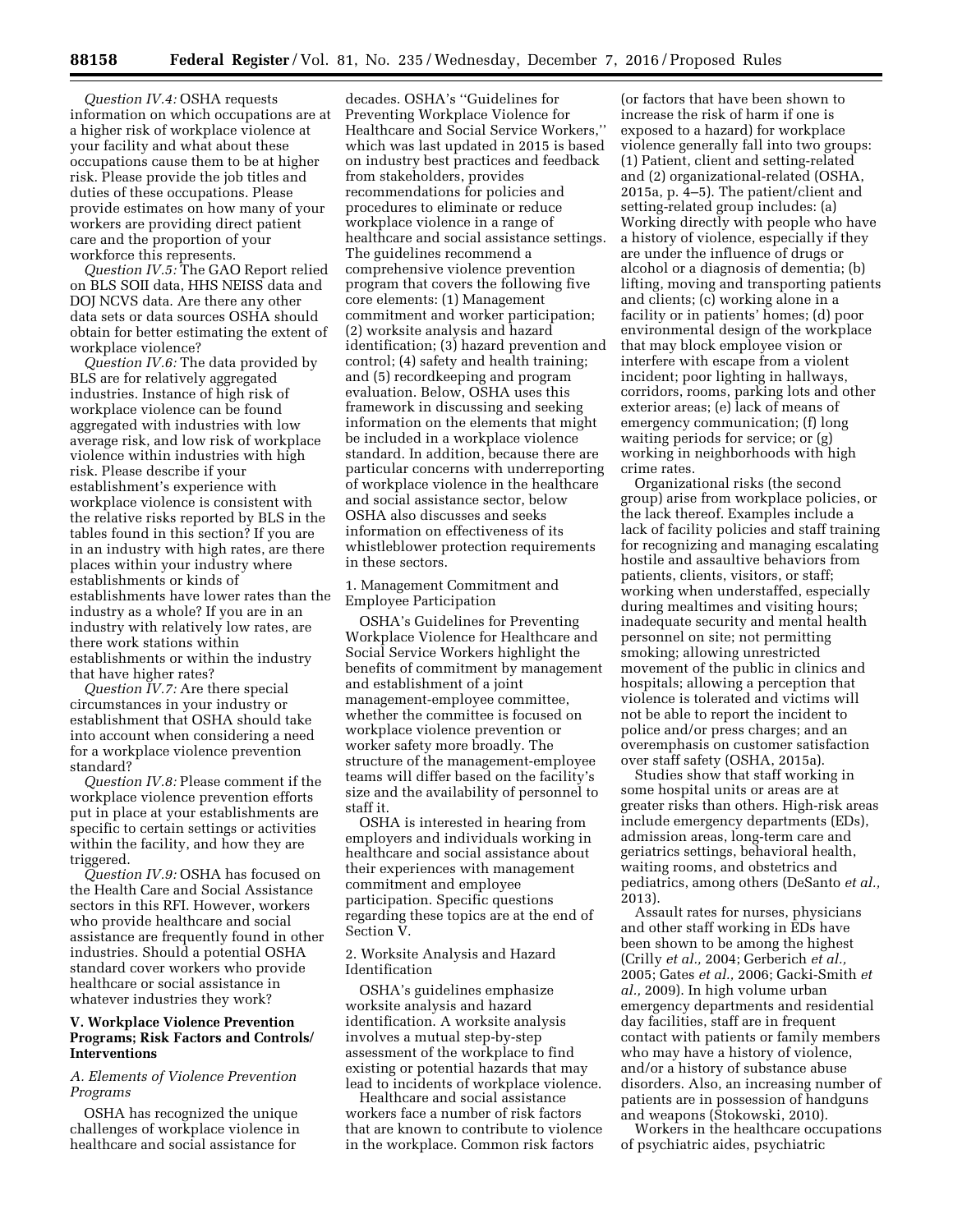*Question IV.4:* OSHA requests information on which occupations are at a higher risk of workplace violence at your facility and what about these occupations cause them to be at higher risk. Please provide the job titles and duties of these occupations. Please provide estimates on how many of your workers are providing direct patient care and the proportion of your workforce this represents.

*Question IV.5:* The GAO Report relied on BLS SOII data, HHS NEISS data and DOJ NCVS data. Are there any other data sets or data sources OSHA should obtain for better estimating the extent of workplace violence?

*Question IV.6:* The data provided by BLS are for relatively aggregated industries. Instance of high risk of workplace violence can be found aggregated with industries with low average risk, and low risk of workplace violence within industries with high risk. Please describe if your establishment's experience with workplace violence is consistent with the relative risks reported by BLS in the tables found in this section? If you are in an industry with high rates, are there places within your industry where establishments or kinds of establishments have lower rates than the industry as a whole? If you are in an industry with relatively low rates, are there work stations within establishments or within the industry that have higher rates?

*Question IV.7:* Are there special circumstances in your industry or establishment that OSHA should take into account when considering a need for a workplace violence prevention standard?

*Question IV.8:* Please comment if the workplace violence prevention efforts put in place at your establishments are specific to certain settings or activities within the facility, and how they are triggered.

*Question IV.9:* OSHA has focused on the Health Care and Social Assistance sectors in this RFI. However, workers who provide healthcare and social assistance are frequently found in other industries. Should a potential OSHA standard cover workers who provide healthcare or social assistance in whatever industries they work?

# **V. Workplace Violence Prevention Programs; Risk Factors and Controls/ Interventions**

# *A. Elements of Violence Prevention Programs*

OSHA has recognized the unique challenges of workplace violence in healthcare and social assistance for

decades. OSHA's ''Guidelines for Preventing Workplace Violence for Healthcare and Social Service Workers,'' which was last updated in 2015 is based on industry best practices and feedback from stakeholders, provides recommendations for policies and procedures to eliminate or reduce workplace violence in a range of healthcare and social assistance settings. The guidelines recommend a comprehensive violence prevention program that covers the following five core elements: (1) Management commitment and worker participation; (2) worksite analysis and hazard identification; (3) hazard prevention and control; (4) safety and health training; and (5) recordkeeping and program evaluation. Below, OSHA uses this framework in discussing and seeking information on the elements that might be included in a workplace violence standard. In addition, because there are particular concerns with underreporting of workplace violence in the healthcare and social assistance sector, below OSHA also discusses and seeks information on effectiveness of its whistleblower protection requirements in these sectors.

1. Management Commitment and Employee Participation

OSHA's Guidelines for Preventing Workplace Violence for Healthcare and Social Service Workers highlight the benefits of commitment by management and establishment of a joint management-employee committee, whether the committee is focused on workplace violence prevention or worker safety more broadly. The structure of the management-employee teams will differ based on the facility's size and the availability of personnel to staff it.

OSHA is interested in hearing from employers and individuals working in healthcare and social assistance about their experiences with management commitment and employee participation. Specific questions regarding these topics are at the end of Section V.

2. Worksite Analysis and Hazard Identification

OSHA's guidelines emphasize worksite analysis and hazard identification. A worksite analysis involves a mutual step-by-step assessment of the workplace to find existing or potential hazards that may lead to incidents of workplace violence.

Healthcare and social assistance workers face a number of risk factors that are known to contribute to violence in the workplace. Common risk factors

(or factors that have been shown to increase the risk of harm if one is exposed to a hazard) for workplace violence generally fall into two groups: (1) Patient, client and setting-related and (2) organizational-related (OSHA, 2015a, p. 4–5). The patient/client and setting-related group includes: (a) Working directly with people who have a history of violence, especially if they are under the influence of drugs or alcohol or a diagnosis of dementia; (b) lifting, moving and transporting patients and clients; (c) working alone in a facility or in patients' homes; (d) poor environmental design of the workplace that may block employee vision or interfere with escape from a violent incident; poor lighting in hallways, corridors, rooms, parking lots and other exterior areas; (e) lack of means of emergency communication; (f) long waiting periods for service; or (g) working in neighborhoods with high crime rates.

Organizational risks (the second group) arise from workplace policies, or the lack thereof. Examples include a lack of facility policies and staff training for recognizing and managing escalating hostile and assaultive behaviors from patients, clients, visitors, or staff; working when understaffed, especially during mealtimes and visiting hours; inadequate security and mental health personnel on site; not permitting smoking; allowing unrestricted movement of the public in clinics and hospitals; allowing a perception that violence is tolerated and victims will not be able to report the incident to police and/or press charges; and an overemphasis on customer satisfaction over staff safety (OSHA, 2015a).

Studies show that staff working in some hospital units or areas are at greater risks than others. High-risk areas include emergency departments (EDs), admission areas, long-term care and geriatrics settings, behavioral health, waiting rooms, and obstetrics and pediatrics, among others (DeSanto *et al.,*  2013).

Assault rates for nurses, physicians and other staff working in EDs have been shown to be among the highest (Crilly *et al.,* 2004; Gerberich *et al.,*  2005; Gates *et al.,* 2006; Gacki-Smith *et al.,* 2009). In high volume urban emergency departments and residential day facilities, staff are in frequent contact with patients or family members who may have a history of violence, and/or a history of substance abuse disorders. Also, an increasing number of patients are in possession of handguns and weapons (Stokowski, 2010).

Workers in the healthcare occupations of psychiatric aides, psychiatric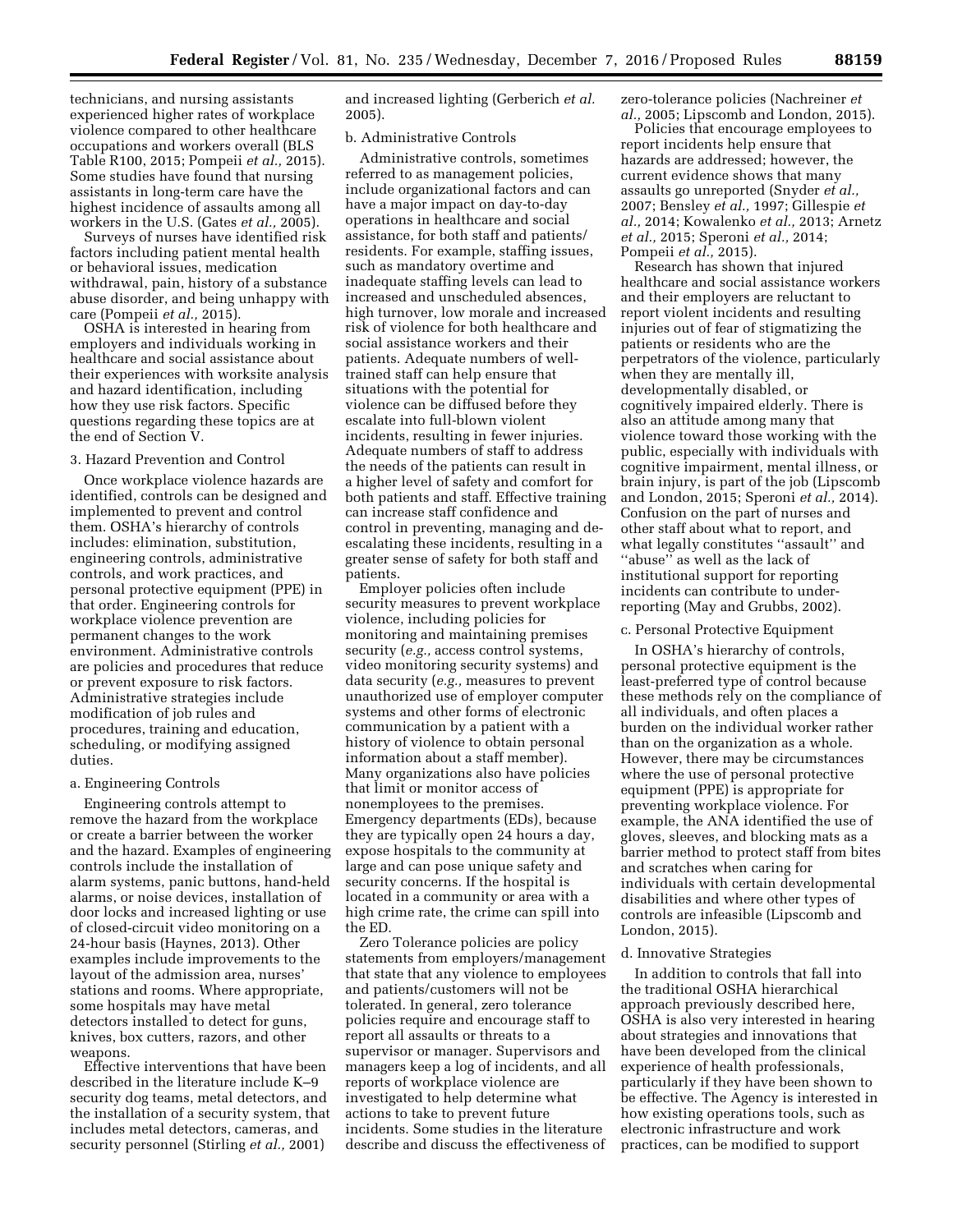technicians, and nursing assistants experienced higher rates of workplace violence compared to other healthcare occupations and workers overall (BLS Table R100, 2015; Pompeii *et al.,* 2015). Some studies have found that nursing assistants in long-term care have the highest incidence of assaults among all workers in the U.S. (Gates *et al.,* 2005).

Surveys of nurses have identified risk factors including patient mental health or behavioral issues, medication withdrawal, pain, history of a substance abuse disorder, and being unhappy with care (Pompeii *et al.,* 2015).

OSHA is interested in hearing from employers and individuals working in healthcare and social assistance about their experiences with worksite analysis and hazard identification, including how they use risk factors. Specific questions regarding these topics are at the end of Section V.

## 3. Hazard Prevention and Control

Once workplace violence hazards are identified, controls can be designed and implemented to prevent and control them. OSHA's hierarchy of controls includes: elimination, substitution, engineering controls, administrative controls, and work practices, and personal protective equipment (PPE) in that order. Engineering controls for workplace violence prevention are permanent changes to the work environment. Administrative controls are policies and procedures that reduce or prevent exposure to risk factors. Administrative strategies include modification of job rules and procedures, training and education, scheduling, or modifying assigned duties.

#### a. Engineering Controls

Engineering controls attempt to remove the hazard from the workplace or create a barrier between the worker and the hazard. Examples of engineering controls include the installation of alarm systems, panic buttons, hand-held alarms, or noise devices, installation of door locks and increased lighting or use of closed-circuit video monitoring on a 24-hour basis (Haynes, 2013). Other examples include improvements to the layout of the admission area, nurses' stations and rooms. Where appropriate, some hospitals may have metal detectors installed to detect for guns, knives, box cutters, razors, and other weapons.

Effective interventions that have been described in the literature include K–9 security dog teams, metal detectors, and the installation of a security system, that includes metal detectors, cameras, and security personnel (Stirling *et al.,* 2001)

and increased lighting (Gerberich *et al.*  2005).

# b. Administrative Controls

Administrative controls, sometimes referred to as management policies, include organizational factors and can have a major impact on day-to-day operations in healthcare and social assistance, for both staff and patients/ residents. For example, staffing issues, such as mandatory overtime and inadequate staffing levels can lead to increased and unscheduled absences, high turnover, low morale and increased risk of violence for both healthcare and social assistance workers and their patients. Adequate numbers of welltrained staff can help ensure that situations with the potential for violence can be diffused before they escalate into full-blown violent incidents, resulting in fewer injuries. Adequate numbers of staff to address the needs of the patients can result in a higher level of safety and comfort for both patients and staff. Effective training can increase staff confidence and control in preventing, managing and deescalating these incidents, resulting in a greater sense of safety for both staff and patients.

Employer policies often include security measures to prevent workplace violence, including policies for monitoring and maintaining premises security (e.g., access control systems, video monitoring security systems) and data security (*e.g.,* measures to prevent unauthorized use of employer computer systems and other forms of electronic communication by a patient with a history of violence to obtain personal information about a staff member). Many organizations also have policies that limit or monitor access of nonemployees to the premises. Emergency departments (EDs), because they are typically open 24 hours a day, expose hospitals to the community at large and can pose unique safety and security concerns. If the hospital is located in a community or area with a high crime rate, the crime can spill into the ED.

Zero Tolerance policies are policy statements from employers/management that state that any violence to employees and patients/customers will not be tolerated. In general, zero tolerance policies require and encourage staff to report all assaults or threats to a supervisor or manager. Supervisors and managers keep a log of incidents, and all reports of workplace violence are investigated to help determine what actions to take to prevent future incidents. Some studies in the literature describe and discuss the effectiveness of zero-tolerance policies (Nachreiner *et al.,* 2005; Lipscomb and London, 2015).

Policies that encourage employees to report incidents help ensure that hazards are addressed; however, the current evidence shows that many assaults go unreported (Snyder *et al.,*  2007; Bensley *et al.,* 1997; Gillespie *et al.,* 2014; Kowalenko *et al.,* 2013; Arnetz *et al.,* 2015; Speroni *et al.,* 2014; Pompeii *et al.,* 2015).

Research has shown that injured healthcare and social assistance workers and their employers are reluctant to report violent incidents and resulting injuries out of fear of stigmatizing the patients or residents who are the perpetrators of the violence, particularly when they are mentally ill, developmentally disabled, or cognitively impaired elderly. There is also an attitude among many that violence toward those working with the public, especially with individuals with cognitive impairment, mental illness, or brain injury, is part of the job (Lipscomb and London, 2015; Speroni *et al.,* 2014). Confusion on the part of nurses and other staff about what to report, and what legally constitutes ''assault'' and ''abuse'' as well as the lack of institutional support for reporting incidents can contribute to underreporting (May and Grubbs, 2002).

### c. Personal Protective Equipment

In OSHA's hierarchy of controls, personal protective equipment is the least-preferred type of control because these methods rely on the compliance of all individuals, and often places a burden on the individual worker rather than on the organization as a whole. However, there may be circumstances where the use of personal protective equipment (PPE) is appropriate for preventing workplace violence. For example, the ANA identified the use of gloves, sleeves, and blocking mats as a barrier method to protect staff from bites and scratches when caring for individuals with certain developmental disabilities and where other types of controls are infeasible (Lipscomb and London, 2015).

### d. Innovative Strategies

In addition to controls that fall into the traditional OSHA hierarchical approach previously described here, OSHA is also very interested in hearing about strategies and innovations that have been developed from the clinical experience of health professionals, particularly if they have been shown to be effective. The Agency is interested in how existing operations tools, such as electronic infrastructure and work practices, can be modified to support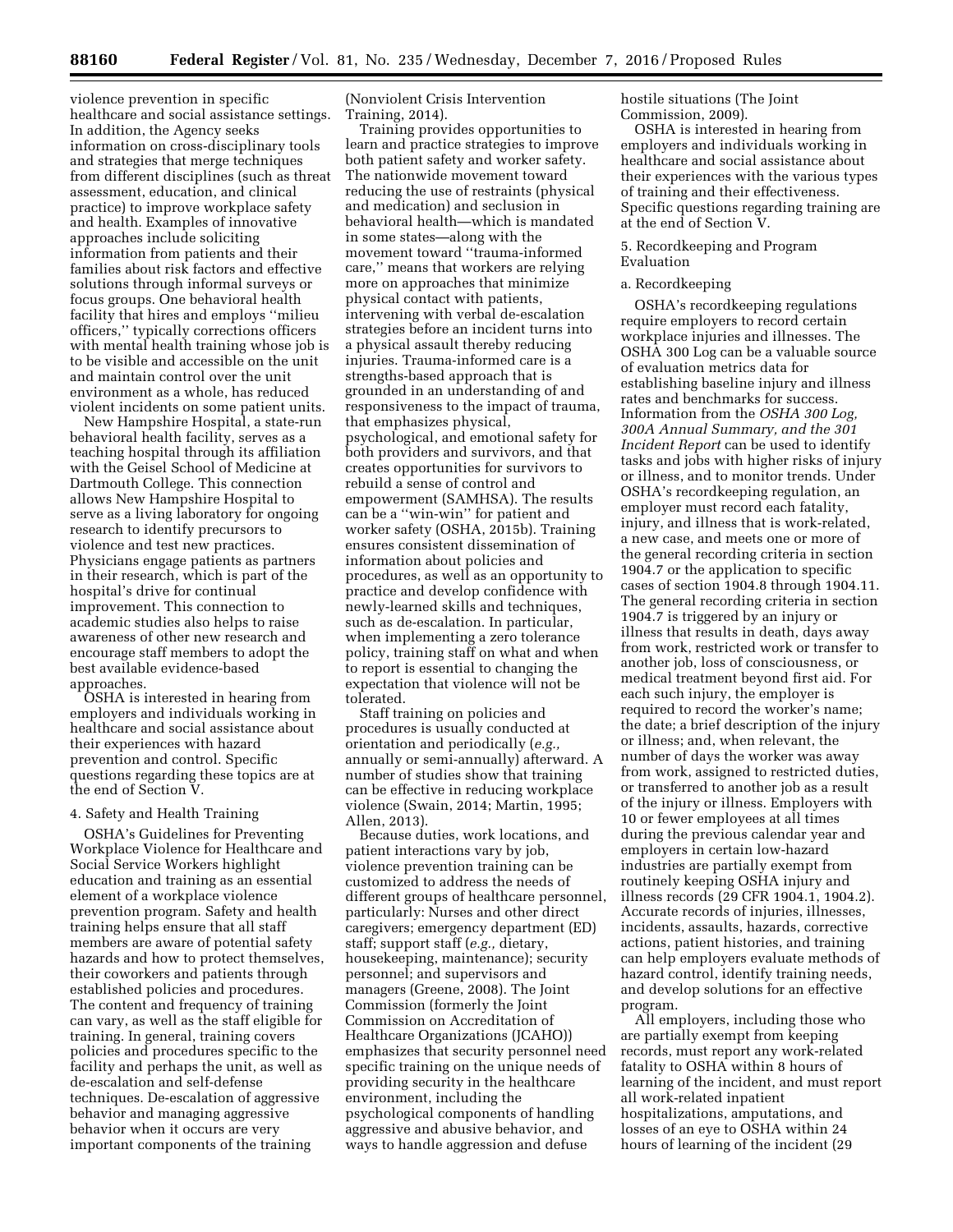violence prevention in specific healthcare and social assistance settings. In addition, the Agency seeks information on cross-disciplinary tools and strategies that merge techniques from different disciplines (such as threat assessment, education, and clinical practice) to improve workplace safety and health. Examples of innovative approaches include soliciting information from patients and their families about risk factors and effective solutions through informal surveys or focus groups. One behavioral health facility that hires and employs ''milieu officers,'' typically corrections officers with mental health training whose job is to be visible and accessible on the unit and maintain control over the unit environment as a whole, has reduced violent incidents on some patient units.

New Hampshire Hospital, a state-run behavioral health facility, serves as a teaching hospital through its affiliation with the Geisel School of Medicine at Dartmouth College. This connection allows New Hampshire Hospital to serve as a living laboratory for ongoing research to identify precursors to violence and test new practices. Physicians engage patients as partners in their research, which is part of the hospital's drive for continual improvement. This connection to academic studies also helps to raise awareness of other new research and encourage staff members to adopt the best available evidence-based approaches.

OSHA is interested in hearing from employers and individuals working in healthcare and social assistance about their experiences with hazard prevention and control. Specific questions regarding these topics are at the end of Section V.

## 4. Safety and Health Training

OSHA's Guidelines for Preventing Workplace Violence for Healthcare and Social Service Workers highlight education and training as an essential element of a workplace violence prevention program. Safety and health training helps ensure that all staff members are aware of potential safety hazards and how to protect themselves, their coworkers and patients through established policies and procedures. The content and frequency of training can vary, as well as the staff eligible for training. In general, training covers policies and procedures specific to the facility and perhaps the unit, as well as de-escalation and self-defense techniques. De-escalation of aggressive behavior and managing aggressive behavior when it occurs are very important components of the training

(Nonviolent Crisis Intervention Training, 2014).

Training provides opportunities to learn and practice strategies to improve both patient safety and worker safety. The nationwide movement toward reducing the use of restraints (physical and medication) and seclusion in behavioral health—which is mandated in some states—along with the movement toward ''trauma-informed care,'' means that workers are relying more on approaches that minimize physical contact with patients, intervening with verbal de-escalation strategies before an incident turns into a physical assault thereby reducing injuries. Trauma-informed care is a strengths-based approach that is grounded in an understanding of and responsiveness to the impact of trauma, that emphasizes physical, psychological, and emotional safety for both providers and survivors, and that creates opportunities for survivors to rebuild a sense of control and empowerment (SAMHSA). The results can be a ''win-win'' for patient and worker safety (OSHA, 2015b). Training ensures consistent dissemination of information about policies and procedures, as well as an opportunity to practice and develop confidence with newly-learned skills and techniques, such as de-escalation. In particular, when implementing a zero tolerance policy, training staff on what and when to report is essential to changing the expectation that violence will not be tolerated.

Staff training on policies and procedures is usually conducted at orientation and periodically (*e.g.,*  annually or semi-annually) afterward. A number of studies show that training can be effective in reducing workplace violence (Swain, 2014; Martin, 1995; Allen, 2013).

Because duties, work locations, and patient interactions vary by job, violence prevention training can be customized to address the needs of different groups of healthcare personnel, particularly: Nurses and other direct caregivers; emergency department (ED) staff; support staff (*e.g.,* dietary, housekeeping, maintenance); security personnel; and supervisors and managers (Greene, 2008). The Joint Commission (formerly the Joint Commission on Accreditation of Healthcare Organizations (JCAHO)) emphasizes that security personnel need specific training on the unique needs of providing security in the healthcare environment, including the psychological components of handling aggressive and abusive behavior, and ways to handle aggression and defuse

hostile situations (The Joint Commission, 2009).

OSHA is interested in hearing from employers and individuals working in healthcare and social assistance about their experiences with the various types of training and their effectiveness. Specific questions regarding training are at the end of Section V.

# 5. Recordkeeping and Program Evaluation

## a. Recordkeeping

OSHA's recordkeeping regulations require employers to record certain workplace injuries and illnesses. The OSHA 300 Log can be a valuable source of evaluation metrics data for establishing baseline injury and illness rates and benchmarks for success. Information from the *OSHA 300 Log, 300A Annual Summary, and the 301 Incident Report* can be used to identify tasks and jobs with higher risks of injury or illness, and to monitor trends. Under OSHA's recordkeeping regulation, an employer must record each fatality, injury, and illness that is work-related, a new case, and meets one or more of the general recording criteria in section 1904.7 or the application to specific cases of section 1904.8 through 1904.11. The general recording criteria in section 1904.7 is triggered by an injury or illness that results in death, days away from work, restricted work or transfer to another job, loss of consciousness, or medical treatment beyond first aid. For each such injury, the employer is required to record the worker's name; the date; a brief description of the injury or illness; and, when relevant, the number of days the worker was away from work, assigned to restricted duties, or transferred to another job as a result of the injury or illness. Employers with 10 or fewer employees at all times during the previous calendar year and employers in certain low-hazard industries are partially exempt from routinely keeping OSHA injury and illness records (29 CFR 1904.1, 1904.2). Accurate records of injuries, illnesses, incidents, assaults, hazards, corrective actions, patient histories, and training can help employers evaluate methods of hazard control, identify training needs, and develop solutions for an effective program.

All employers, including those who are partially exempt from keeping records, must report any work-related fatality to OSHA within 8 hours of learning of the incident, and must report all work-related inpatient hospitalizations, amputations, and losses of an eye to OSHA within 24 hours of learning of the incident (29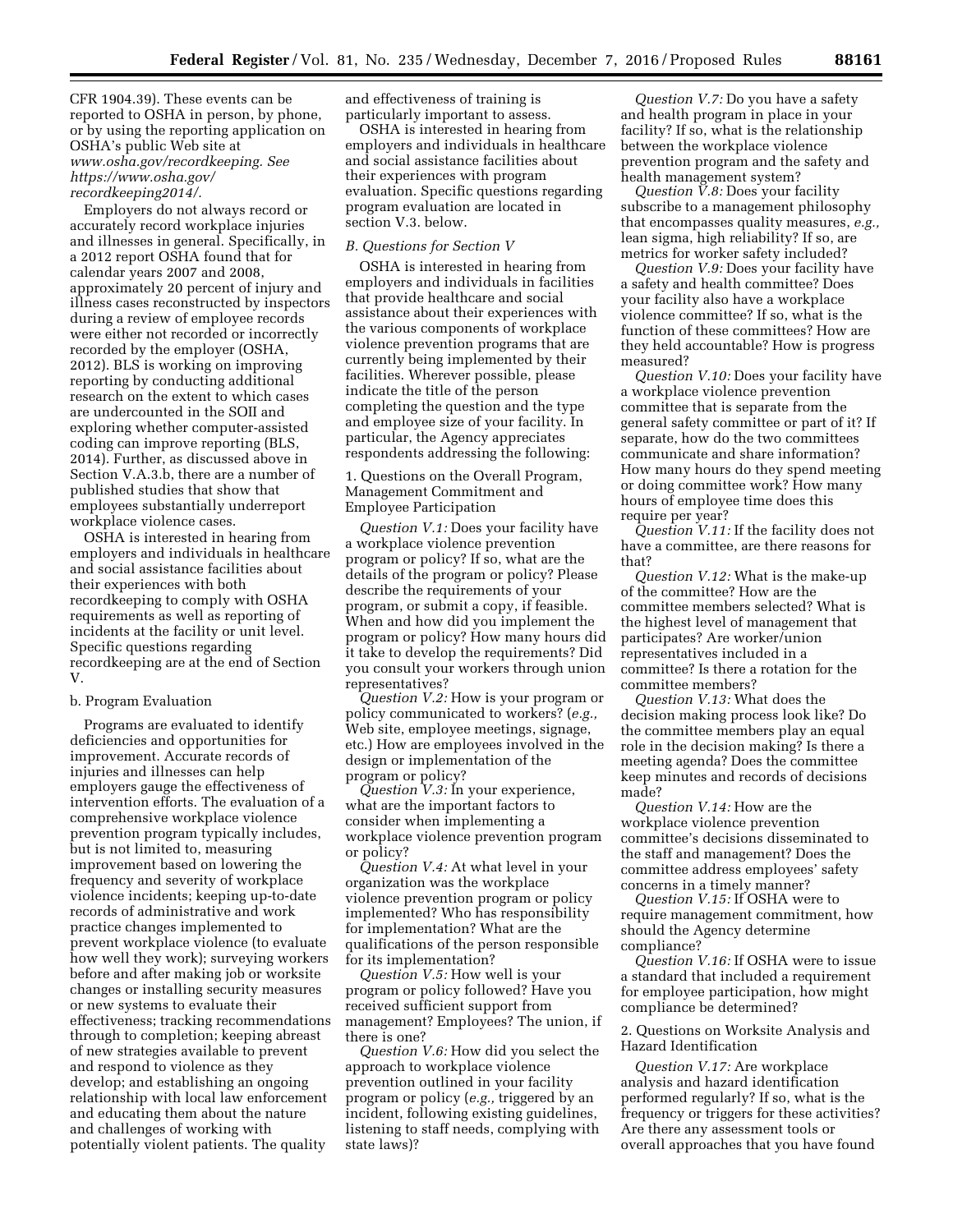CFR 1904.39). These events can be reported to OSHA in person, by phone, or by using the reporting application on OSHA's public Web site at *[www.osha.gov/recordkeeping.](http://www.osha.gov/recordkeeping) See [https://www.osha.gov/](https://www.osha.gov/recordkeeping2014/)  [recordkeeping2014/.](https://www.osha.gov/recordkeeping2014/)* 

Employers do not always record or accurately record workplace injuries and illnesses in general. Specifically, in a 2012 report OSHA found that for calendar years 2007 and 2008, approximately 20 percent of injury and illness cases reconstructed by inspectors during a review of employee records were either not recorded or incorrectly recorded by the employer (OSHA, 2012). BLS is working on improving reporting by conducting additional research on the extent to which cases are undercounted in the SOII and exploring whether computer-assisted coding can improve reporting (BLS, 2014). Further, as discussed above in Section V.A.3.b, there are a number of published studies that show that employees substantially underreport workplace violence cases.

OSHA is interested in hearing from employers and individuals in healthcare and social assistance facilities about their experiences with both recordkeeping to comply with OSHA requirements as well as reporting of incidents at the facility or unit level. Specific questions regarding recordkeeping are at the end of Section V.

### b. Program Evaluation

Programs are evaluated to identify deficiencies and opportunities for improvement. Accurate records of injuries and illnesses can help employers gauge the effectiveness of intervention efforts. The evaluation of a comprehensive workplace violence prevention program typically includes, but is not limited to, measuring improvement based on lowering the frequency and severity of workplace violence incidents; keeping up-to-date records of administrative and work practice changes implemented to prevent workplace violence (to evaluate how well they work); surveying workers before and after making job or worksite changes or installing security measures or new systems to evaluate their effectiveness; tracking recommendations through to completion; keeping abreast of new strategies available to prevent and respond to violence as they develop; and establishing an ongoing relationship with local law enforcement and educating them about the nature and challenges of working with potentially violent patients. The quality

and effectiveness of training is particularly important to assess.

OSHA is interested in hearing from employers and individuals in healthcare and social assistance facilities about their experiences with program evaluation. Specific questions regarding program evaluation are located in section V.3. below.

### *B. Questions for Section V*

OSHA is interested in hearing from employers and individuals in facilities that provide healthcare and social assistance about their experiences with the various components of workplace violence prevention programs that are currently being implemented by their facilities. Wherever possible, please indicate the title of the person completing the question and the type and employee size of your facility. In particular, the Agency appreciates respondents addressing the following:

1. Questions on the Overall Program, Management Commitment and Employee Participation

*Question V.1:* Does your facility have a workplace violence prevention program or policy? If so, what are the details of the program or policy? Please describe the requirements of your program, or submit a copy, if feasible. When and how did you implement the program or policy? How many hours did it take to develop the requirements? Did you consult your workers through union representatives?

*Question V.2:* How is your program or policy communicated to workers? (*e.g.,*  Web site, employee meetings, signage, etc.) How are employees involved in the design or implementation of the program or policy?

*Question V.3:* In your experience, what are the important factors to consider when implementing a workplace violence prevention program or policy?

*Question V.4:* At what level in your organization was the workplace violence prevention program or policy implemented? Who has responsibility for implementation? What are the qualifications of the person responsible for its implementation?

*Question V.5:* How well is your program or policy followed? Have you received sufficient support from management? Employees? The union, if there is one?

*Question V.6:* How did you select the approach to workplace violence prevention outlined in your facility program or policy (*e.g.,* triggered by an incident, following existing guidelines, listening to staff needs, complying with state laws)?

*Question V.7:* Do you have a safety and health program in place in your facility? If so, what is the relationship between the workplace violence prevention program and the safety and health management system?

*Question V.8:* Does your facility subscribe to a management philosophy that encompasses quality measures, *e.g.,*  lean sigma, high reliability? If so, are metrics for worker safety included?

*Question V.9:* Does your facility have a safety and health committee? Does your facility also have a workplace violence committee? If so, what is the function of these committees? How are they held accountable? How is progress measured?

*Question V.10:* Does your facility have a workplace violence prevention committee that is separate from the general safety committee or part of it? If separate, how do the two committees communicate and share information? How many hours do they spend meeting or doing committee work? How many hours of employee time does this require per year?

*Question V.11:* If the facility does not have a committee, are there reasons for that?

*Question V.12:* What is the make-up of the committee? How are the committee members selected? What is the highest level of management that participates? Are worker/union representatives included in a committee? Is there a rotation for the committee members?

*Question V.13:* What does the decision making process look like? Do the committee members play an equal role in the decision making? Is there a meeting agenda? Does the committee keep minutes and records of decisions made?

*Question V.14:* How are the workplace violence prevention committee's decisions disseminated to the staff and management? Does the committee address employees' safety concerns in a timely manner?

*Question V.15:* If OSHA were to require management commitment, how should the Agency determine compliance?

*Question V.16:* If OSHA were to issue a standard that included a requirement for employee participation, how might compliance be determined?

2. Questions on Worksite Analysis and Hazard Identification

*Question V.17:* Are workplace analysis and hazard identification performed regularly? If so, what is the frequency or triggers for these activities? Are there any assessment tools or overall approaches that you have found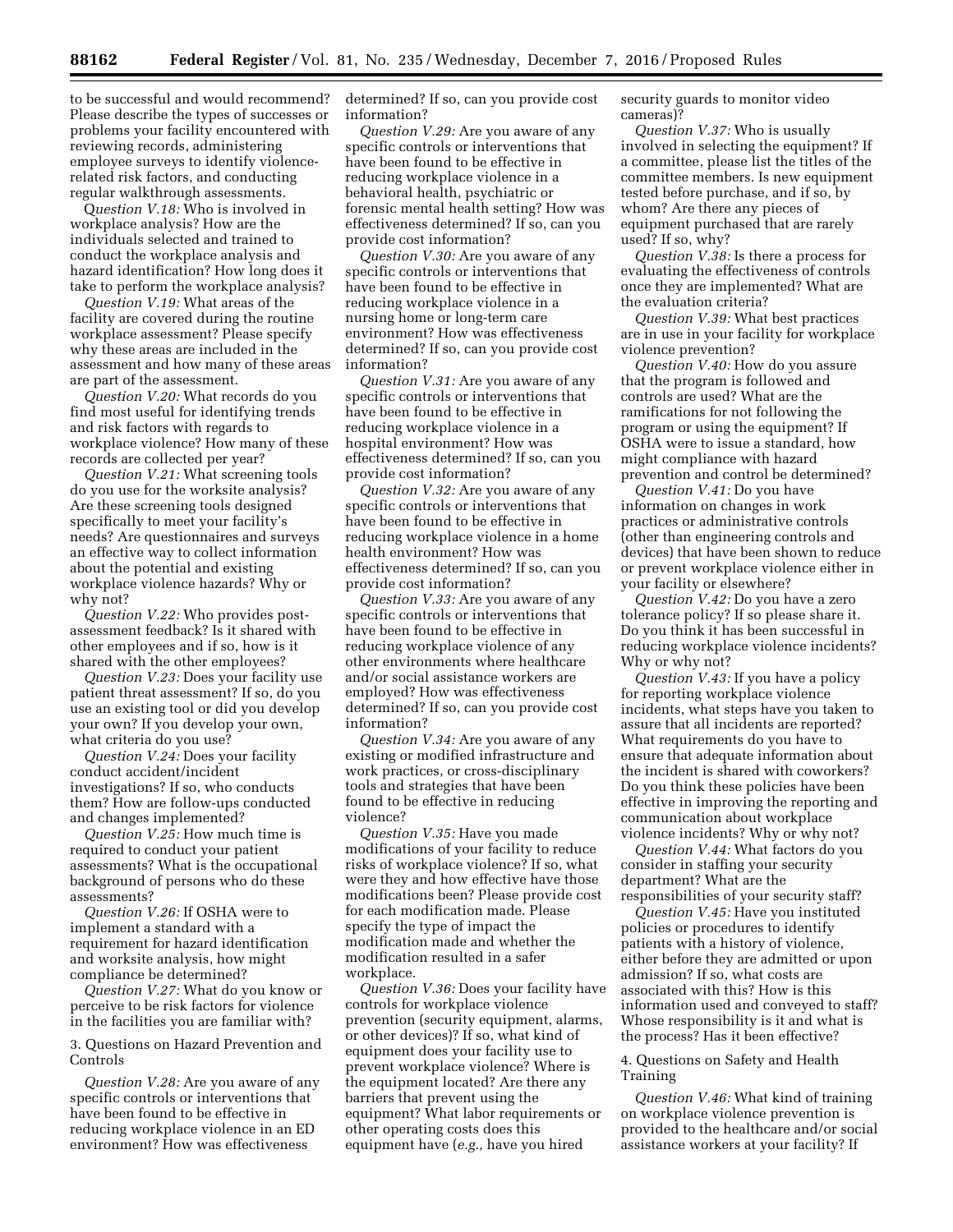to be successful and would recommend? Please describe the types of successes or problems your facility encountered with reviewing records, administering employee surveys to identify violencerelated risk factors, and conducting regular walkthrough assessments.

Q*uestion V.18:* Who is involved in workplace analysis? How are the individuals selected and trained to conduct the workplace analysis and hazard identification? How long does it take to perform the workplace analysis?

*Question V.19:* What areas of the facility are covered during the routine workplace assessment? Please specify why these areas are included in the assessment and how many of these areas are part of the assessment.

*Question V.20:* What records do you find most useful for identifying trends and risk factors with regards to workplace violence? How many of these records are collected per year?

*Question V.21:* What screening tools do you use for the worksite analysis? Are these screening tools designed specifically to meet your facility's needs? Are questionnaires and surveys an effective way to collect information about the potential and existing workplace violence hazards? Why or why not?

*Question V.22:* Who provides postassessment feedback? Is it shared with other employees and if so, how is it shared with the other employees?

*Question V.23:* Does your facility use patient threat assessment? If so, do you use an existing tool or did you develop your own? If you develop your own, what criteria do you use?

*Question V.24:* Does your facility conduct accident/incident investigations? If so, who conducts them? How are follow-ups conducted and changes implemented?

*Question V.25:* How much time is required to conduct your patient assessments? What is the occupational background of persons who do these assessments?

*Question V.26:* If OSHA were to implement a standard with a requirement for hazard identification and worksite analysis, how might compliance be determined?

*Question V.27:* What do you know or perceive to be risk factors for violence in the facilities you are familiar with?

3. Questions on Hazard Prevention and Controls

*Question V.28:* Are you aware of any specific controls or interventions that have been found to be effective in reducing workplace violence in an ED environment? How was effectiveness

determined? If so, can you provide cost information?

*Question V.29:* Are you aware of any specific controls or interventions that have been found to be effective in reducing workplace violence in a behavioral health, psychiatric or forensic mental health setting? How was effectiveness determined? If so, can you provide cost information?

*Question V.30:* Are you aware of any specific controls or interventions that have been found to be effective in reducing workplace violence in a nursing home or long-term care environment? How was effectiveness determined? If so, can you provide cost information?

*Question V.31:* Are you aware of any specific controls or interventions that have been found to be effective in reducing workplace violence in a hospital environment? How was effectiveness determined? If so, can you provide cost information?

*Question V.32:* Are you aware of any specific controls or interventions that have been found to be effective in reducing workplace violence in a home health environment? How was effectiveness determined? If so, can you provide cost information?

*Question V.33:* Are you aware of any specific controls or interventions that have been found to be effective in reducing workplace violence of any other environments where healthcare and/or social assistance workers are employed? How was effectiveness determined? If so, can you provide cost information?

*Question V.34:* Are you aware of any existing or modified infrastructure and work practices, or cross-disciplinary tools and strategies that have been found to be effective in reducing violence?

*Question V.35:* Have you made modifications of your facility to reduce risks of workplace violence? If so, what were they and how effective have those modifications been? Please provide cost for each modification made. Please specify the type of impact the modification made and whether the modification resulted in a safer workplace.

*Question V.36:* Does your facility have controls for workplace violence prevention (security equipment, alarms, or other devices)? If so, what kind of equipment does your facility use to prevent workplace violence? Where is the equipment located? Are there any barriers that prevent using the equipment? What labor requirements or other operating costs does this equipment have (*e.g.,* have you hired

security guards to monitor video cameras)?

*Question V.37:* Who is usually involved in selecting the equipment? If a committee, please list the titles of the committee members. Is new equipment tested before purchase, and if so, by whom? Are there any pieces of equipment purchased that are rarely used? If so, why?

*Question V.38:* Is there a process for evaluating the effectiveness of controls once they are implemented? What are the evaluation criteria?

*Question V.39:* What best practices are in use in your facility for workplace violence prevention?

*Question V.40:* How do you assure that the program is followed and controls are used? What are the ramifications for not following the program or using the equipment? If OSHA were to issue a standard, how might compliance with hazard prevention and control be determined?

*Question V.41:* Do you have information on changes in work practices or administrative controls (other than engineering controls and devices) that have been shown to reduce or prevent workplace violence either in your facility or elsewhere?

*Question V.42:* Do you have a zero tolerance policy? If so please share it. Do you think it has been successful in reducing workplace violence incidents? Why or why not?

*Question V.43:* If you have a policy for reporting workplace violence incidents, what steps have you taken to assure that all incidents are reported? What requirements do you have to ensure that adequate information about the incident is shared with coworkers? Do you think these policies have been effective in improving the reporting and communication about workplace violence incidents? Why or why not?

*Question V.44:* What factors do you consider in staffing your security department? What are the responsibilities of your security staff?

*Question V.45:* Have you instituted policies or procedures to identify patients with a history of violence, either before they are admitted or upon admission? If so, what costs are associated with this? How is this information used and conveyed to staff? Whose responsibility is it and what is the process? Has it been effective?

# 4. Questions on Safety and Health Training

*Question V.46:* What kind of training on workplace violence prevention is provided to the healthcare and/or social assistance workers at your facility? If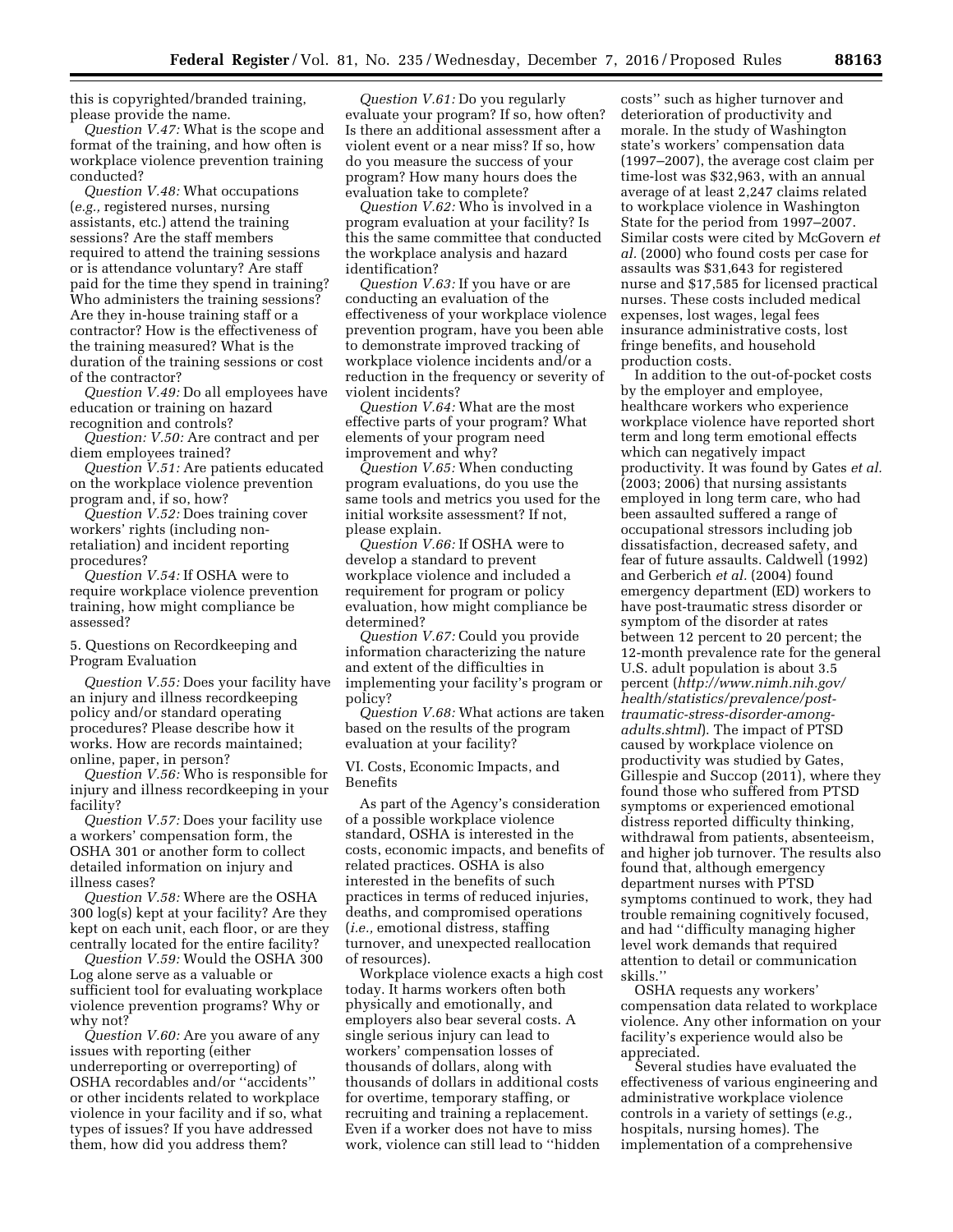this is copyrighted/branded training, please provide the name.

*Question V.47:* What is the scope and format of the training, and how often is workplace violence prevention training conducted?

*Question V.48:* What occupations (*e.g.,* registered nurses, nursing assistants, etc.) attend the training sessions? Are the staff members required to attend the training sessions or is attendance voluntary? Are staff paid for the time they spend in training? Who administers the training sessions? Are they in-house training staff or a contractor? How is the effectiveness of the training measured? What is the duration of the training sessions or cost of the contractor?

*Question V.49:* Do all employees have education or training on hazard recognition and controls?

*Question: V.50:* Are contract and per diem employees trained?

*Question V.51:* Are patients educated on the workplace violence prevention program and, if so, how?

*Question V.52:* Does training cover workers' rights (including nonretaliation) and incident reporting procedures?

*Question V.54:* If OSHA were to require workplace violence prevention training, how might compliance be assessed?

# 5. Questions on Recordkeeping and Program Evaluation

*Question V.55:* Does your facility have an injury and illness recordkeeping policy and/or standard operating procedures? Please describe how it works. How are records maintained; online, paper, in person?

*Question V.56:* Who is responsible for injury and illness recordkeeping in your facility?

*Question V.57:* Does your facility use a workers' compensation form, the OSHA 301 or another form to collect detailed information on injury and illness cases?

*Question V.58:* Where are the OSHA 300 log(s) kept at your facility? Are they kept on each unit, each floor, or are they centrally located for the entire facility?

*Question V.59:* Would the OSHA 300 Log alone serve as a valuable or sufficient tool for evaluating workplace violence prevention programs? Why or why not?

*Question V.60:* Are you aware of any issues with reporting (either underreporting or overreporting) of OSHA recordables and/or ''accidents'' or other incidents related to workplace violence in your facility and if so, what types of issues? If you have addressed them, how did you address them?

*Question V.61:* Do you regularly evaluate your program? If so, how often? Is there an additional assessment after a violent event or a near miss? If so, how do you measure the success of your program? How many hours does the evaluation take to complete?

*Question V.62:* Who is involved in a program evaluation at your facility? Is this the same committee that conducted the workplace analysis and hazard identification?

*Question V.63:* If you have or are conducting an evaluation of the effectiveness of your workplace violence prevention program, have you been able to demonstrate improved tracking of workplace violence incidents and/or a reduction in the frequency or severity of violent incidents?

*Question V.64:* What are the most effective parts of your program? What elements of your program need improvement and why?

*Question V.65:* When conducting program evaluations, do you use the same tools and metrics you used for the initial worksite assessment? If not, please explain.

*Question V.66:* If OSHA were to develop a standard to prevent workplace violence and included a requirement for program or policy evaluation, how might compliance be determined?

*Question V.67:* Could you provide information characterizing the nature and extent of the difficulties in implementing your facility's program or policy?

*Question V.68:* What actions are taken based on the results of the program evaluation at your facility?

VI. Costs, Economic Impacts, and Benefits

As part of the Agency's consideration of a possible workplace violence standard, OSHA is interested in the costs, economic impacts, and benefits of related practices. OSHA is also interested in the benefits of such practices in terms of reduced injuries, deaths, and compromised operations (*i.e.,* emotional distress, staffing turnover, and unexpected reallocation of resources).

Workplace violence exacts a high cost today. It harms workers often both physically and emotionally, and employers also bear several costs. A single serious injury can lead to workers' compensation losses of thousands of dollars, along with thousands of dollars in additional costs for overtime, temporary staffing, or recruiting and training a replacement. Even if a worker does not have to miss work, violence can still lead to ''hidden

costs'' such as higher turnover and deterioration of productivity and morale. In the study of Washington state's workers' compensation data (1997–2007), the average cost claim per time-lost was \$32,963, with an annual average of at least 2,247 claims related to workplace violence in Washington State for the period from 1997–2007. Similar costs were cited by McGovern *et al.* (2000) who found costs per case for assaults was \$31,643 for registered nurse and \$17,585 for licensed practical nurses. These costs included medical expenses, lost wages, legal fees insurance administrative costs, lost fringe benefits, and household production costs.

In addition to the out-of-pocket costs by the employer and employee, healthcare workers who experience workplace violence have reported short term and long term emotional effects which can negatively impact productivity. It was found by Gates *et al.*  (2003; 2006) that nursing assistants employed in long term care, who had been assaulted suffered a range of occupational stressors including job dissatisfaction, decreased safety, and fear of future assaults. Caldwell (1992) and Gerberich *et al.* (2004) found emergency department (ED) workers to have post-traumatic stress disorder or symptom of the disorder at rates between 12 percent to 20 percent; the 12-month prevalence rate for the general U.S. adult population is about 3.5 percent (*[http://www.nimh.nih.gov/](http://www.nimh.nih.gov/health/statistics/prevalence/post-traumatic-stress-disorder-among-adults.shtml)  [health/statistics/prevalence/post](http://www.nimh.nih.gov/health/statistics/prevalence/post-traumatic-stress-disorder-among-adults.shtml)[traumatic-stress-disorder-among](http://www.nimh.nih.gov/health/statistics/prevalence/post-traumatic-stress-disorder-among-adults.shtml)[adults.shtml](http://www.nimh.nih.gov/health/statistics/prevalence/post-traumatic-stress-disorder-among-adults.shtml)*). The impact of PTSD caused by workplace violence on productivity was studied by Gates, Gillespie and Succop (2011), where they found those who suffered from PTSD symptoms or experienced emotional distress reported difficulty thinking, withdrawal from patients, absenteeism, and higher job turnover. The results also found that, although emergency department nurses with PTSD symptoms continued to work, they had trouble remaining cognitively focused, and had ''difficulty managing higher level work demands that required attention to detail or communication skills.''

OSHA requests any workers' compensation data related to workplace violence. Any other information on your facility's experience would also be appreciated.

Several studies have evaluated the effectiveness of various engineering and administrative workplace violence controls in a variety of settings (*e.g.,*  hospitals, nursing homes). The implementation of a comprehensive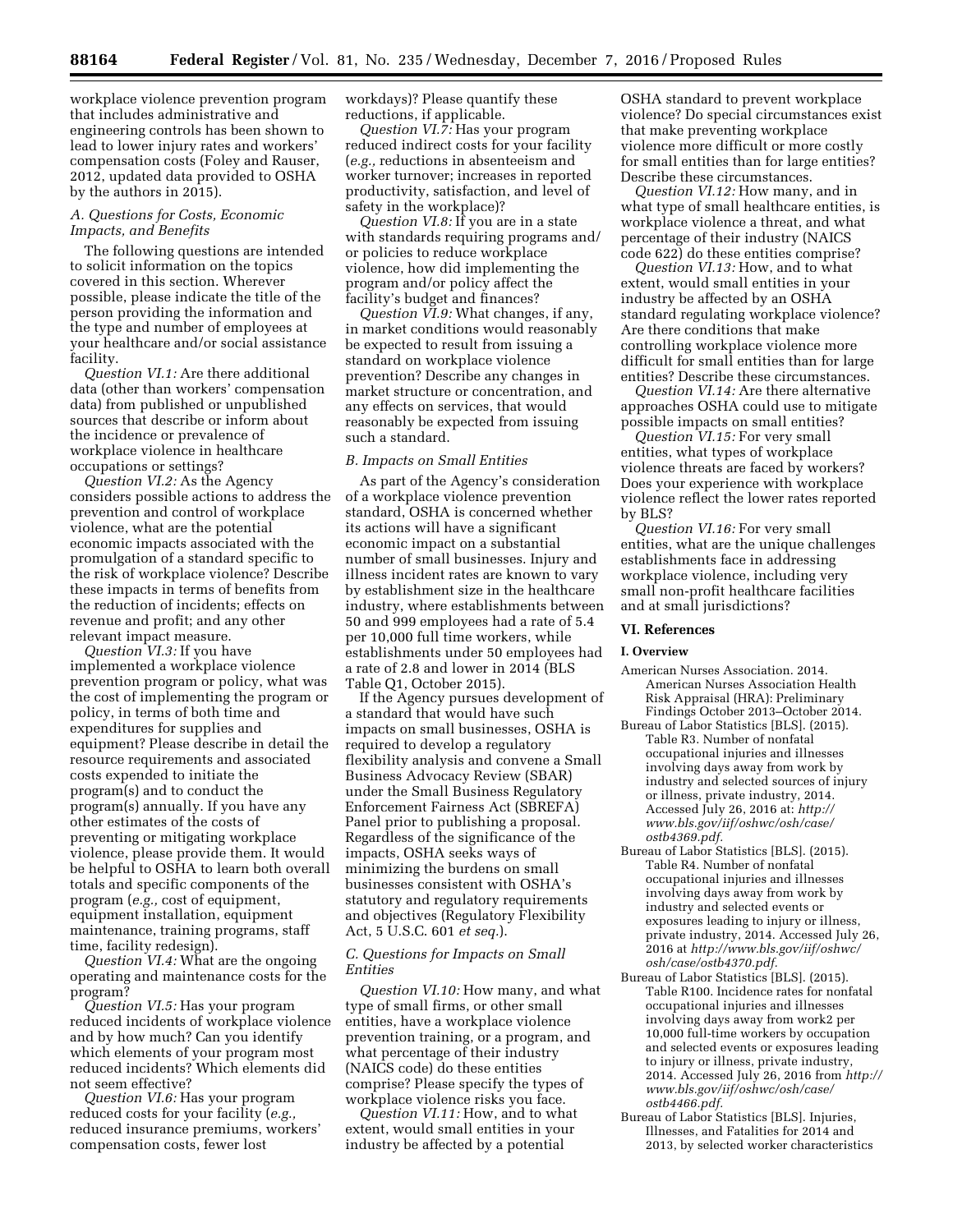workplace violence prevention program that includes administrative and engineering controls has been shown to lead to lower injury rates and workers' compensation costs (Foley and Rauser, 2012, updated data provided to OSHA by the authors in 2015).

## *A. Questions for Costs, Economic Impacts, and Benefits*

The following questions are intended to solicit information on the topics covered in this section. Wherever possible, please indicate the title of the person providing the information and the type and number of employees at your healthcare and/or social assistance facility.

*Question VI.1:* Are there additional data (other than workers' compensation data) from published or unpublished sources that describe or inform about the incidence or prevalence of workplace violence in healthcare occupations or settings?

*Question VI.2:* As the Agency considers possible actions to address the prevention and control of workplace violence, what are the potential economic impacts associated with the promulgation of a standard specific to the risk of workplace violence? Describe these impacts in terms of benefits from the reduction of incidents; effects on revenue and profit; and any other relevant impact measure.

*Question VI.3:* If you have implemented a workplace violence prevention program or policy, what was the cost of implementing the program or policy, in terms of both time and expenditures for supplies and equipment? Please describe in detail the resource requirements and associated costs expended to initiate the program(s) and to conduct the program(s) annually. If you have any other estimates of the costs of preventing or mitigating workplace violence, please provide them. It would be helpful to OSHA to learn both overall totals and specific components of the program (*e.g.,* cost of equipment, equipment installation, equipment maintenance, training programs, staff time, facility redesign).

*Question VI.4:* What are the ongoing operating and maintenance costs for the program?

*Question VI.5:* Has your program reduced incidents of workplace violence and by how much? Can you identify which elements of your program most reduced incidents? Which elements did not seem effective?

*Question VI.6:* Has your program reduced costs for your facility (*e.g.,*  reduced insurance premiums, workers' compensation costs, fewer lost

workdays)? Please quantify these reductions, if applicable.

*Question VI.7:* Has your program reduced indirect costs for your facility (*e.g.,* reductions in absenteeism and worker turnover; increases in reported productivity, satisfaction, and level of safety in the workplace)?

*Question VI.8:* If you are in a state with standards requiring programs and/ or policies to reduce workplace violence, how did implementing the program and/or policy affect the facility's budget and finances?

*Question VI.9:* What changes, if any, in market conditions would reasonably be expected to result from issuing a standard on workplace violence prevention? Describe any changes in market structure or concentration, and any effects on services, that would reasonably be expected from issuing such a standard.

### *B. Impacts on Small Entities*

As part of the Agency's consideration of a workplace violence prevention standard, OSHA is concerned whether its actions will have a significant economic impact on a substantial number of small businesses. Injury and illness incident rates are known to vary by establishment size in the healthcare industry, where establishments between 50 and 999 employees had a rate of 5.4 per 10,000 full time workers, while establishments under 50 employees had a rate of 2.8 and lower in 2014 (BLS Table Q1, October 2015).

If the Agency pursues development of a standard that would have such impacts on small businesses, OSHA is required to develop a regulatory flexibility analysis and convene a Small Business Advocacy Review (SBAR) under the Small Business Regulatory Enforcement Fairness Act (SBREFA) Panel prior to publishing a proposal. Regardless of the significance of the impacts, OSHA seeks ways of minimizing the burdens on small businesses consistent with OSHA's statutory and regulatory requirements and objectives (Regulatory Flexibility Act, 5 U.S.C. 601 *et seq.*).

#### *C. Questions for Impacts on Small Entities*

*Question VI.10:* How many, and what type of small firms, or other small entities, have a workplace violence prevention training, or a program, and what percentage of their industry (NAICS code) do these entities comprise? Please specify the types of workplace violence risks you face.

*Question VI.11:* How, and to what extent, would small entities in your industry be affected by a potential

OSHA standard to prevent workplace violence? Do special circumstances exist that make preventing workplace violence more difficult or more costly for small entities than for large entities? Describe these circumstances.

*Question VI.12:* How many, and in what type of small healthcare entities, is workplace violence a threat, and what percentage of their industry (NAICS code 622) do these entities comprise?

*Question VI.13:* How, and to what extent, would small entities in your industry be affected by an OSHA standard regulating workplace violence? Are there conditions that make controlling workplace violence more difficult for small entities than for large entities? Describe these circumstances.

*Question VI.14:* Are there alternative approaches OSHA could use to mitigate possible impacts on small entities?

*Question VI.15:* For very small entities, what types of workplace violence threats are faced by workers? Does your experience with workplace violence reflect the lower rates reported by BLS?

*Question VI.16:* For very small entities, what are the unique challenges establishments face in addressing workplace violence, including very small non-profit healthcare facilities and at small jurisdictions?

### **VI. References**

#### **I. Overview**

- American Nurses Association. 2014. American Nurses Association Health Risk Appraisal (HRA): Preliminary Findings October 2013–October 2014.
- Bureau of Labor Statistics [BLS]. (2015). Table R3. Number of nonfatal occupational injuries and illnesses involving days away from work by industry and selected sources of injury or illness, private industry, 2014. Accessed July 26, 2016 at: *[http://](http://www.bls.gov/iif/oshwc/osh/case/ostb4369.pdf) [www.bls.gov/iif/oshwc/osh/case/](http://www.bls.gov/iif/oshwc/osh/case/ostb4369.pdf)  [ostb4369.pdf.](http://www.bls.gov/iif/oshwc/osh/case/ostb4369.pdf)*
- Bureau of Labor Statistics [BLS]. (2015). Table R4. Number of nonfatal occupational injuries and illnesses involving days away from work by industry and selected events or exposures leading to injury or illness, private industry, 2014. Accessed July 26, 2016 at *[http://www.bls.gov/iif/oshwc/](http://www.bls.gov/iif/oshwc/osh/case/ostb4370.pdf) [osh/case/ostb4370.pdf.](http://www.bls.gov/iif/oshwc/osh/case/ostb4370.pdf)*
- Bureau of Labor Statistics [BLS]. (2015). Table R100. Incidence rates for nonfatal occupational injuries and illnesses involving days away from work2 per 10,000 full-time workers by occupation and selected events or exposures leading to injury or illness, private industry, 2014. Accessed July 26, 2016 from *[http://](http://www.bls.gov/iif/oshwc/osh/case/ostb4466.pdf)  [www.bls.gov/iif/oshwc/osh/case/](http://www.bls.gov/iif/oshwc/osh/case/ostb4466.pdf)  [ostb4466.pdf.](http://www.bls.gov/iif/oshwc/osh/case/ostb4466.pdf)*
- Bureau of Labor Statistics [BLS]. Injuries, Illnesses, and Fatalities for 2014 and 2013, by selected worker characteristics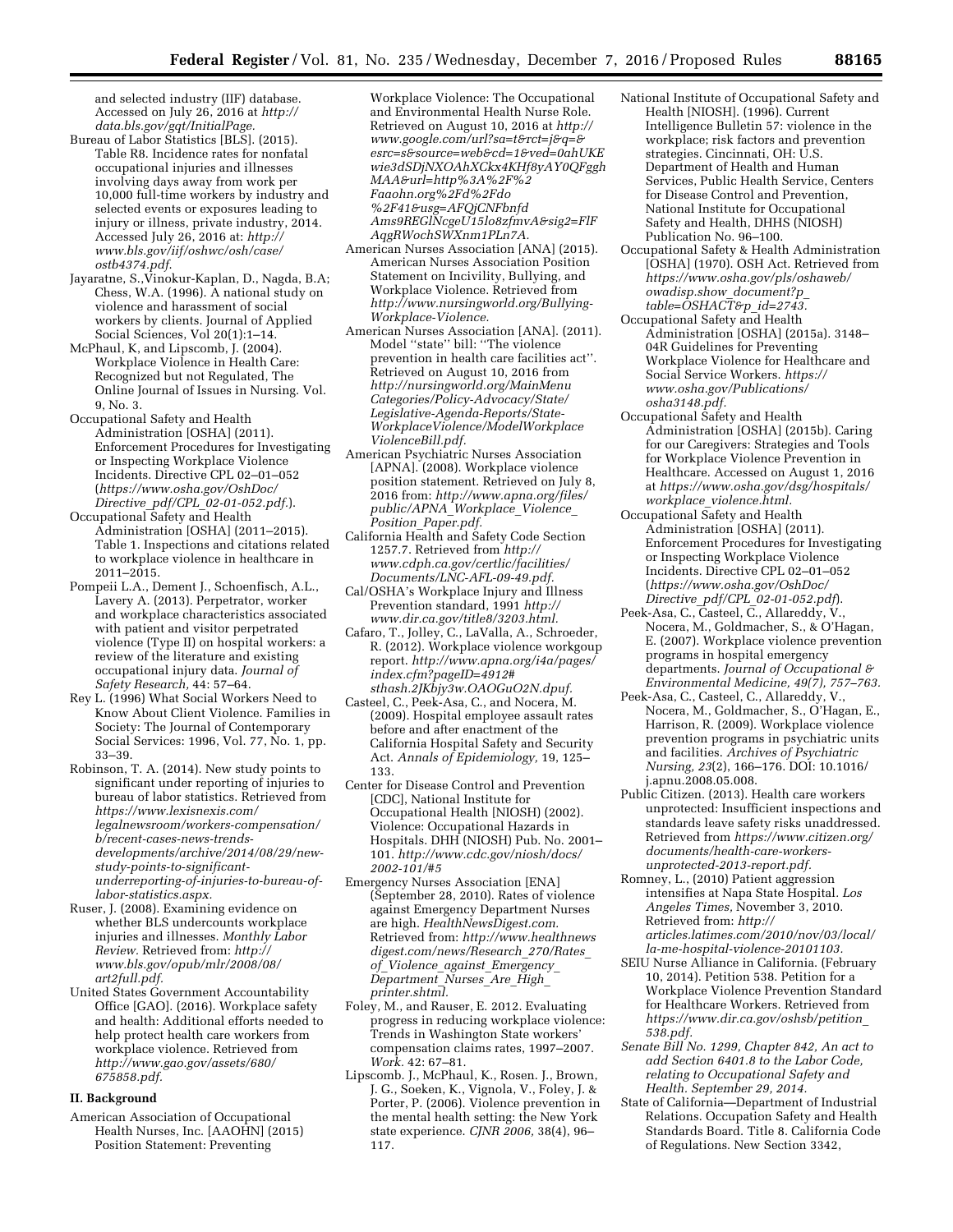and selected industry (IIF) database. Accessed on July 26, 2016 at *[http://](http://data.bls.gov/gqt/InitialPage) [data.bls.gov/gqt/InitialPage.](http://data.bls.gov/gqt/InitialPage)* 

- Bureau of Labor Statistics [BLS]. (2015). Table R8. Incidence rates for nonfatal occupational injuries and illnesses involving days away from work per 10,000 full-time workers by industry and selected events or exposures leading to injury or illness, private industry, 2014. Accessed July 26, 2016 at: *[http://](http://www.bls.gov/iif/oshwc/osh/case/ostb4374.pdf) [www.bls.gov/iif/oshwc/osh/case/](http://www.bls.gov/iif/oshwc/osh/case/ostb4374.pdf)  [ostb4374.pdf](http://www.bls.gov/iif/oshwc/osh/case/ostb4374.pdf)*.
- Jayaratne, S.,Vinokur-Kaplan, D., Nagda, B.A; Chess, W.A. (1996). A national study on violence and harassment of social workers by clients. Journal of Applied Social Sciences, Vol 20(1):1–14.
- McPhaul, K, and Lipscomb, J. (2004). Workplace Violence in Health Care: Recognized but not Regulated, The Online Journal of Issues in Nursing. Vol. 9, No. 3.
- Occupational Safety and Health Administration [OSHA] (2011). Enforcement Procedures for Investigating or Inspecting Workplace Violence Incidents. Directive CPL 02–01–052 (*[https://www.osha.gov/OshDoc/](https://www.osha.gov/OshDoc/Directive_pdf/CPL_02-01-052.pdf)  Directive*\_*pdf/CPL*\_*[02-01-052.pdf.](https://www.osha.gov/OshDoc/Directive_pdf/CPL_02-01-052.pdf)*).
- Occupational Safety and Health Administration [OSHA] (2011–2015). Table 1. Inspections and citations related to workplace violence in healthcare in 2011–2015.
- Pompeii L.A., Dement J., Schoenfisch, A.L., Lavery A. (2013). Perpetrator, worker and workplace characteristics associated with patient and visitor perpetrated violence (Type II) on hospital workers: a review of the literature and existing occupational injury data. *Journal of Safety Research,* 44: 57–64.
- Rey L. (1996) What Social Workers Need to Know About Client Violence. Families in Society: The Journal of Contemporary Social Services: 1996, Vol. 77, No. 1, pp. 33–39.
- Robinson, T. A. (2014). New study points to significant under reporting of injuries to bureau of labor statistics. Retrieved from *https://www.lexisnexis.com/ legalnewsroom/workers-compensation/ b/recent-cases-news-trends[developments/archive/2014/08/29/new](https://www.lexisnexis.com/legalnewsroom/workers-compensation/b/recent-cases-news-trends-developments/archive/2014/08/29/new-study-points-to-significant-underreporting-of-injuries-to-bureau-of-labor-statistics.aspx)study-points-to-significantunderreporting-of-injuries-to-bureau-oflabor-statistics.aspx.*
- Ruser, J. (2008). Examining evidence on whether BLS undercounts workplace injuries and illnesses. *Monthly Labor Review.* Retrieved from: *[http://](http://www.bls.gov/opub/mlr/2008/08/art2full.pdf) [www.bls.gov/opub/mlr/2008/08/](http://www.bls.gov/opub/mlr/2008/08/art2full.pdf) [art2full.pdf.](http://www.bls.gov/opub/mlr/2008/08/art2full.pdf)*
- United States Government Accountability Office [GAO]. (2016). Workplace safety and health: Additional efforts needed to help protect health care workers from workplace violence. Retrieved from *[http://www.gao.gov/assets/680/](http://www.gao.gov/assets/680/675858.pdf) [675858.pdf.](http://www.gao.gov/assets/680/675858.pdf)*

# **II. Background**

American Association of Occupational Health Nurses, Inc. [AAOHN] (2015) Position Statement: Preventing

Workplace Violence: The Occupational and Environmental Health Nurse Role. Retrieved on August 10, 2016 at *[http://](http://www.google.com/url?sa=t&rct=j&q=&esrc=s&source=web&cd=1&ved=0ahUKEwie3dSDjNXOAhXCkx4KHf8yAY0QFgghMAA&url=http%3A%2F%2Faaohn.org%2Fd%2Fdo%2F41&usg=AFQjCNFbnfdAms9REGlNcgeU15lo8zfmvA&sig2=FlFAqgRWochSWXnm1PLn7A)  www.google.com/url?sa=t&rct=j&q=& esrc=s&source=web&cd=1&ved=0ahUKE [wie3dSDjNXOAhXCkx4KHf8yAY0QFggh](http://www.google.com/url?sa=t&rct=j&q=&esrc=s&source=web&cd=1&ved=0ahUKEwie3dSDjNXOAhXCkx4KHf8yAY0QFgghMAA&url=http%3A%2F%2Faaohn.org%2Fd%2Fdo%2F41&usg=AFQjCNFbnfdAms9REGlNcgeU15lo8zfmvA&sig2=FlFAqgRWochSWXnm1PLn7A) MAA&url=http%3A%2F%2 Faaohn.org%2Fd%2Fdo %2F41&usg=AFQjCNFbnfd Ams9REGlNcgeU15lo8zfmvA&sig2=FlF AqgRWochSWXnm1PLn7A.* 

- American Nurses Association [ANA] (2015). American Nurses Association Position Statement on Incivility, Bullying, and Workplace Violence. Retrieved from *[http://www.nursingworld.org/Bullying-](http://www.nursingworld.org/Bullying-Workplace-Violence)[Workplace-Violence.](http://www.nursingworld.org/Bullying-Workplace-Violence)*
- American Nurses Association [ANA]. (2011). Model ''state'' bill: ''The violence prevention in health care facilities act''. Retrieved on August 10, 2016 from *[http://nursingworld.org/MainMenu](http://nursingworld.org/MainMenuCategories/Policy-Advocacy/State/Legislative-Agenda-Reports/State-WorkplaceViolence/ModelWorkplaceViolenceBill.pdf) [Categories/Policy-Advocacy/State/](http://nursingworld.org/MainMenuCategories/Policy-Advocacy/State/Legislative-Agenda-Reports/State-WorkplaceViolence/ModelWorkplaceViolenceBill.pdf) [Legislative-Agenda-Reports/State-](http://nursingworld.org/MainMenuCategories/Policy-Advocacy/State/Legislative-Agenda-Reports/State-WorkplaceViolence/ModelWorkplaceViolenceBill.pdf)[WorkplaceViolence/ModelWorkplace](http://nursingworld.org/MainMenuCategories/Policy-Advocacy/State/Legislative-Agenda-Reports/State-WorkplaceViolence/ModelWorkplaceViolenceBill.pdf) [ViolenceBill.pdf.](http://nursingworld.org/MainMenuCategories/Policy-Advocacy/State/Legislative-Agenda-Reports/State-WorkplaceViolence/ModelWorkplaceViolenceBill.pdf)*
- American Psychiatric Nurses Association [APNA]. (2008). Workplace violence position statement. Retrieved on July 8, 2016 from: *[http://www.apna.org/files/](http://www.apna.org/files/public/APNA_Workplace_Violence_Position_Paper.pdf)  [public/APNA](http://www.apna.org/files/public/APNA_Workplace_Violence_Position_Paper.pdf)*\_*Workplace*\_*Violence*\_ *Position*\_*[Paper.pdf.](http://www.apna.org/files/public/APNA_Workplace_Violence_Position_Paper.pdf)*
- California Health and Safety Code Section 1257.7. Retrieved from *[http://](http://www.cdph.ca.gov/certlic/facilities/Documents/LNC-AFL-09-49.pdf) [www.cdph.ca.gov/certlic/facilities/](http://www.cdph.ca.gov/certlic/facilities/Documents/LNC-AFL-09-49.pdf) [Documents/LNC-AFL-09-49.pdf.](http://www.cdph.ca.gov/certlic/facilities/Documents/LNC-AFL-09-49.pdf)*
- Cal/OSHA's Workplace Injury and Illness Prevention standard, 1991 *[http://](http://www.dir.ca.gov/title8/3203.html) [www.dir.ca.gov/title8/3203.html.](http://www.dir.ca.gov/title8/3203.html)*
- Cafaro, T., Jolley, C., LaValla, A., Schroeder, R. (2012). Workplace violence workgoup report. *[http://www.apna.org/i4a/pages/](http://www.apna.org/i4a/pages/index.cfm?pageID=4912#sthash.2JKbjy3w.OAOGuO2N.dpuf) [index.cfm?pageID=4912#](http://www.apna.org/i4a/pages/index.cfm?pageID=4912#sthash.2JKbjy3w.OAOGuO2N.dpuf) [sthash.2JKbjy3w.OAOGuO2N.dpuf.](http://www.apna.org/i4a/pages/index.cfm?pageID=4912#sthash.2JKbjy3w.OAOGuO2N.dpuf)*
- Casteel, C., Peek-Asa, C., and Nocera, M. (2009). Hospital employee assault rates before and after enactment of the California Hospital Safety and Security Act. *Annals of Epidemiology,* 19, 125– 133.
- Center for Disease Control and Prevention [CDC], National Institute for Occupational Health [NIOSH) (2002). Violence: Occupational Hazards in Hospitals. DHH (NIOSH) Pub. No. 2001– 101. *[http://www.cdc.gov/niosh/docs/](http://www.cdc.gov/niosh/docs/2002-101/#5) [2002-101/#5](http://www.cdc.gov/niosh/docs/2002-101/#5)*
- Emergency Nurses Association [ENA] (September 28, 2010). Rates of violence against Emergency Department Nurses are high. *HealthNewsDigest.com.*  Retrieved from: *[http://www.healthnews](http://www.healthnewsdigest.com/news/Research_270/Rates_of_Violence_against_Emergency_Department_Nurses_Are_High_printer.shtml) [digest.com/news/Research](http://www.healthnewsdigest.com/news/Research_270/Rates_of_Violence_against_Emergency_Department_Nurses_Are_High_printer.shtml)*\_*270/Rates*\_ *of*\_*Violence*\_*against*\_*[Emergency](http://www.healthnewsdigest.com/news/Research_270/Rates_of_Violence_against_Emergency_Department_Nurses_Are_High_printer.shtml)*\_ *[Department](http://www.healthnewsdigest.com/news/Research_270/Rates_of_Violence_against_Emergency_Department_Nurses_Are_High_printer.shtml)*\_*Nurses*\_*Are*\_*High*\_ *[printer.shtml.](http://www.healthnewsdigest.com/news/Research_270/Rates_of_Violence_against_Emergency_Department_Nurses_Are_High_printer.shtml)*
- Foley, M., and Rauser, E. 2012. Evaluating progress in reducing workplace violence: Trends in Washington State workers' compensation claims rates, 1997–2007. *Work.* 42: 67–81.
- Lipscomb. J., McPhaul, K., Rosen. J., Brown, J. G., Soeken, K., Vignola, V., Foley, J. & Porter, P. (2006). Violence prevention in the mental health setting: the New York state experience. *CJNR 2006,* 38(4), 96– 117.
- National Institute of Occupational Safety and Health [NIOSH]. (1996). Current Intelligence Bulletin 57: violence in the workplace; risk factors and prevention strategies. Cincinnati, OH: U.S. Department of Health and Human Services, Public Health Service, Centers for Disease Control and Prevention, National Institute for Occupational Safety and Health, DHHS (NIOSH) Publication No. 96–100.
- Occupational Safety & Health Administration [OSHA] (1970). OSH Act. Retrieved from *[https://www.osha.gov/pls/oshaweb/](https://www.osha.gov/pls/oshaweb/owadisp.show_document?p_table=OSHACT&p_id=2743)  [owadisp.show](https://www.osha.gov/pls/oshaweb/owadisp.show_document?p_table=OSHACT&p_id=2743)*\_*document?p*\_ *[table=OSHACT&p](https://www.osha.gov/pls/oshaweb/owadisp.show_document?p_table=OSHACT&p_id=2743)*\_*id=2743.*
- Occupational Safety and Health Administration [OSHA] (2015a). 3148– 04R Guidelines for Preventing Workplace Violence for Healthcare and Social Service Workers. *[https://](https://www.osha.gov/Publications/osha3148.pdf) [www.osha.gov/Publications/](https://www.osha.gov/Publications/osha3148.pdf)  [osha3148.pdf.](https://www.osha.gov/Publications/osha3148.pdf)*
- Occupational Safety and Health Administration [OSHA] (2015b). Caring for our Caregivers: Strategies and Tools for Workplace Violence Prevention in Healthcare. Accessed on August 1, 2016 at *[https://www.osha.gov/dsg/hospitals/](https://www.osha.gov/dsg/hospitals/workplace_violence.html)  workplace*\_*[violence.html.](https://www.osha.gov/dsg/hospitals/workplace_violence.html)*
- Occupational Safety and Health Administration [OSHA] (2011). Enforcement Procedures for Investigating or Inspecting Workplace Violence Incidents. Directive CPL 02–01–052 (*[https://www.osha.gov/OshDoc/](https://www.osha.gov/OshDoc/Directive_pdf/CPL_02-01-052.pdf)  Directive*\_*pdf/CPL*\_*[02-01-052.pdf](https://www.osha.gov/OshDoc/Directive_pdf/CPL_02-01-052.pdf)*).
- Peek-Asa, C., Casteel, C., Allareddy, V., Nocera, M., Goldmacher, S., & O'Hagan, E. (2007). Workplace violence prevention programs in hospital emergency departments. *Journal of Occupational & Environmental Medicine, 49(7), 757–763.*
- Peek-Asa, C., Casteel, C., Allareddy, V., Nocera, M., Goldmacher, S., O'Hagan, E., Harrison, R. (2009). Workplace violence prevention programs in psychiatric units and facilities. *Archives of Psychiatric Nursing, 23*(2), 166–176. DOI: 10.1016/ j.apnu.2008.05.008.
- Public Citizen. (2013). Health care workers unprotected: Insufficient inspections and standards leave safety risks unaddressed. Retrieved from *[https://www.citizen.org/](https://www.citizen.org/documents/health-care-workers-unprotected-2013-report.pdf)  [documents/health-care-workers](https://www.citizen.org/documents/health-care-workers-unprotected-2013-report.pdf)[unprotected-2013-report.pdf.](https://www.citizen.org/documents/health-care-workers-unprotected-2013-report.pdf)*
- Romney, L., (2010) Patient aggression intensifies at Napa State Hospital*. Los Angeles Times,* November 3, 2010. Retrieved from: *[http://](http://articles.latimes.com/2010/nov/03/local/la-me-hospital-violence-20101103) [articles.latimes.com/2010/nov/03/local/](http://articles.latimes.com/2010/nov/03/local/la-me-hospital-violence-20101103) [la-me-hospital-violence-20101103.](http://articles.latimes.com/2010/nov/03/local/la-me-hospital-violence-20101103)*
- SEIU Nurse Alliance in California. (February 10, 2014). Petition 538. Petition for a Workplace Violence Prevention Standard for Healthcare Workers. Retrieved from *[https://www.dir.ca.gov/oshsb/petition](https://www.dir.ca.gov/oshsb/petition_538.pdf)*\_ *538.pdf.*
- *Senate Bill No. 1299, Chapter 842, An act to add Section 6401.8 to the Labor Code, relating to Occupational Safety and Health. September 29, 2014.*
- State of California—Department of Industrial Relations. Occupation Safety and Health Standards Board. Title 8. California Code of Regulations. New Section 3342,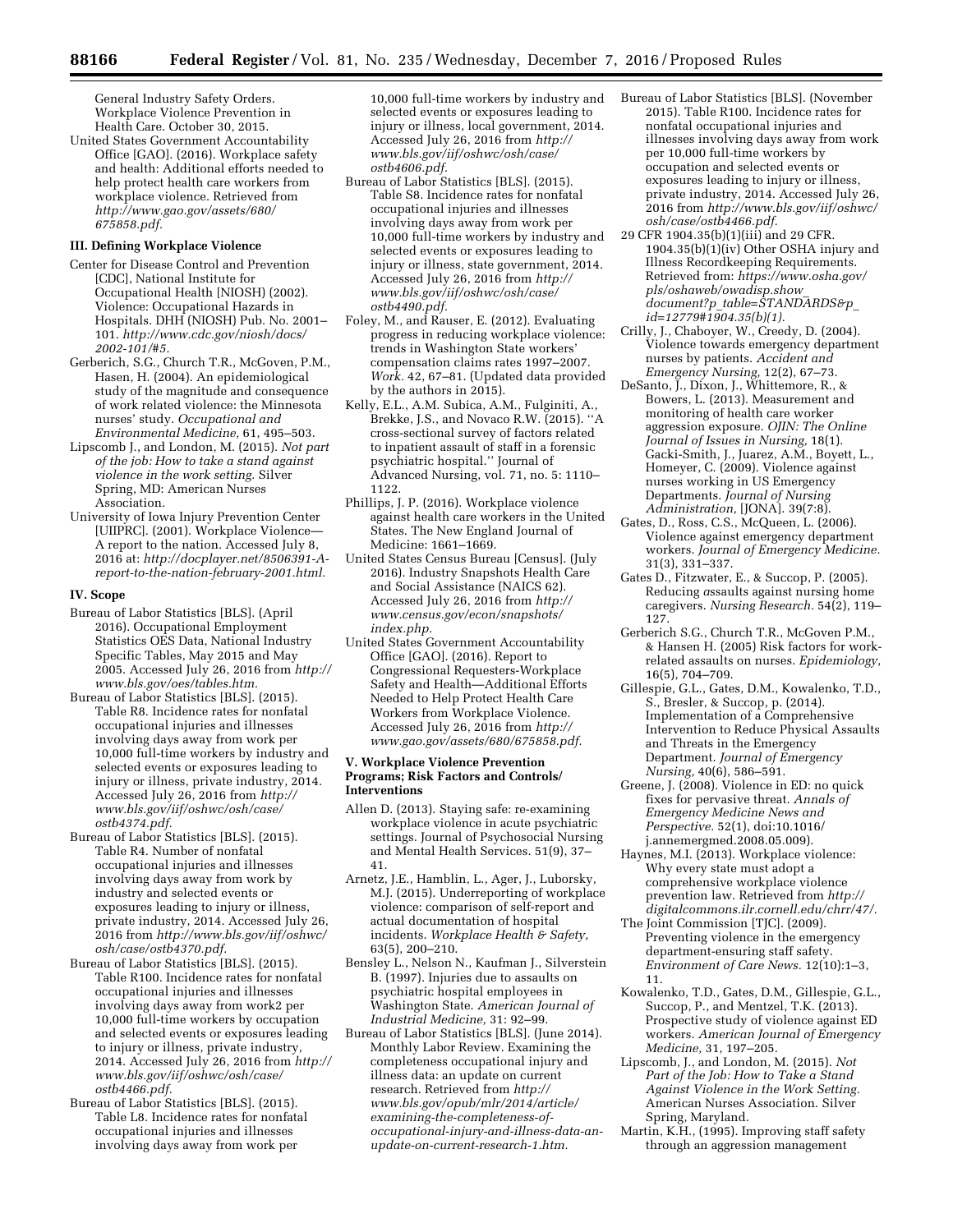General Industry Safety Orders. Workplace Violence Prevention in Health Care. October 30, 2015.

United States Government Accountability Office [GAO]. (2016). Workplace safety and health: Additional efforts needed to help protect health care workers from workplace violence. Retrieved from *[http://www.gao.gov/assets/680/](http://www.gao.gov/assets/680/675858.pdf) [675858.pdf.](http://www.gao.gov/assets/680/675858.pdf)* 

# **III. Defining Workplace Violence**

- Center for Disease Control and Prevention [CDC], National Institute for Occupational Health [NIOSH) (2002). Violence: Occupational Hazards in Hospitals. DHH (NIOSH) Pub. No. 2001– 101. *[http://www.cdc.gov/niosh/docs/](http://www.cdc.gov/niosh/docs/2002-101/#5) [2002-101/#5.](http://www.cdc.gov/niosh/docs/2002-101/#5)*
- Gerberich, S.G., Church T.R., McGoven, P.M., Hasen, H. (2004). An epidemiological study of the magnitude and consequence of work related violence: the Minnesota nurses' study. *Occupational and Environmental Medicine,* 61, 495–503.
- Lipscomb J., and London, M. (2015). *Not part of the job: How to take a stand against violence in the work setting.* Silver Spring, MD: American Nurses Association.
- University of Iowa Injury Prevention Center [UIIPRC]. (2001). Workplace Violence— A report to the nation. Accessed July 8, 2016 at: *[http://docplayer.net/8506391-A](http://docplayer.net/8506391-A-report-to-the-nation-february-2001.html)[report-to-the-nation-february-2001.html.](http://docplayer.net/8506391-A-report-to-the-nation-february-2001.html)*

#### **IV. Scope**

- Bureau of Labor Statistics [BLS]. (April 2016). Occupational Employment Statistics OES Data, National Industry Specific Tables, May 2015 and May 2005. Accessed July 26, 2016 from *[http://](http://www.bls.gov/oes/tables.htm)  [www.bls.gov/oes/tables.htm.](http://www.bls.gov/oes/tables.htm)*
- Bureau of Labor Statistics [BLS]. (2015). Table R8. Incidence rates for nonfatal occupational injuries and illnesses involving days away from work per 10,000 full-time workers by industry and selected events or exposures leading to injury or illness, private industry, 2014. Accessed July 26, 2016 from *[http://](http://www.bls.gov/iif/oshwc/osh/case/ostb4374.pdf) [www.bls.gov/iif/oshwc/osh/case/](http://www.bls.gov/iif/oshwc/osh/case/ostb4374.pdf)  [ostb4374.pdf.](http://www.bls.gov/iif/oshwc/osh/case/ostb4374.pdf)*
- Bureau of Labor Statistics [BLS]. (2015). Table R4. Number of nonfatal occupational injuries and illnesses involving days away from work by industry and selected events or exposures leading to injury or illness, private industry, 2014. Accessed July 26, 2016 from *[http://www.bls.gov/iif/oshwc/](http://www.bls.gov/iif/oshwc/osh/case/ostb4370.pdf)  [osh/case/ostb4370.pdf.](http://www.bls.gov/iif/oshwc/osh/case/ostb4370.pdf)*
- Bureau of Labor Statistics [BLS]. (2015). Table R100. Incidence rates for nonfatal occupational injuries and illnesses involving days away from work2 per 10,000 full-time workers by occupation and selected events or exposures leading to injury or illness, private industry, 2014. Accessed July 26, 2016 from *[http://](http://www.bls.gov/iif/oshwc/osh/case/ostb4466.pdf)  [www.bls.gov/iif/oshwc/osh/case/](http://www.bls.gov/iif/oshwc/osh/case/ostb4466.pdf)  [ostb4466.pdf.](http://www.bls.gov/iif/oshwc/osh/case/ostb4466.pdf)*
- Bureau of Labor Statistics [BLS]. (2015). Table L8. Incidence rates for nonfatal occupational injuries and illnesses involving days away from work per

10,000 full-time workers by industry and selected events or exposures leading to injury or illness, local government, 2014. Accessed July 26, 2016 from *[http://](http://www.bls.gov/iif/oshwc/osh/case/ostb4606.pdf) [www.bls.gov/iif/oshwc/osh/case/](http://www.bls.gov/iif/oshwc/osh/case/ostb4606.pdf)  [ostb4606.pdf.](http://www.bls.gov/iif/oshwc/osh/case/ostb4606.pdf)* 

- Bureau of Labor Statistics [BLS]. (2015). Table S8. Incidence rates for nonfatal occupational injuries and illnesses involving days away from work per 10,000 full-time workers by industry and selected events or exposures leading to injury or illness, state government, 2014. Accessed July 26, 2016 from *[http://](http://www.bls.gov/iif/oshwc/osh/case/ostb4490.pdf) [www.bls.gov/iif/oshwc/osh/case/](http://www.bls.gov/iif/oshwc/osh/case/ostb4490.pdf)  [ostb4490.pdf.](http://www.bls.gov/iif/oshwc/osh/case/ostb4490.pdf)*
- Foley, M., and Rauser, E. (2012). Evaluating progress in reducing workplace violence: trends in Washington State workers' compensation claims rates 1997–2007. *Work.* 42, 67–81. (Updated data provided by the authors in 2015).
- Kelly, E.L., A.M. Subica, A.M., Fulginiti, A., Brekke, J.S., and Novaco R.W. (2015). ''A cross-sectional survey of factors related to inpatient assault of staff in a forensic psychiatric hospital.'' Journal of Advanced Nursing, vol. 71, no. 5: 1110– 1122.
- Phillips, J. P. (2016). Workplace violence against health care workers in the United States. The New England Journal of Medicine: 1661–1669.
- United States Census Bureau [Census]. (July 2016). Industry Snapshots Health Care and Social Assistance (NAICS 62). Accessed July 26, 2016 from *[http://](http://www.census.gov/econ/snapshots/index.php) [www.census.gov/econ/snapshots/](http://www.census.gov/econ/snapshots/index.php)  [index.php.](http://www.census.gov/econ/snapshots/index.php)*
- United States Government Accountability Office [GAO]. (2016). Report to Congressional Requesters-Workplace Safety and Health—Additional Efforts Needed to Help Protect Health Care Workers from Workplace Violence. Accessed July 26, 2016 from *[http://](http://www.gao.gov/assets/680/675858.pdf) [www.gao.gov/assets/680/675858.pdf.](http://www.gao.gov/assets/680/675858.pdf)*

### **V. Workplace Violence Prevention Programs; Risk Factors and Controls/ Interventions**

- Allen D. (2013). Staying safe: re-examining workplace violence in acute psychiatric settings. Journal of Psychosocial Nursing and Mental Health Services. 51(9), 37– 41.
- Arnetz, J.E., Hamblin, L., Ager, J., Luborsky, M.J. (2015). Underreporting of workplace violence: comparison of self-report and actual documentation of hospital incidents. *Workplace Health & Safety,*  63(5), 200–210.
- Bensley L., Nelson N., Kaufman J., Silverstein B. (1997). Injuries due to assaults on psychiatric hospital employees in Washington State. *American Journal of Industrial Medicine,* 31: 92–99.
- Bureau of Labor Statistics [BLS]. (June 2014). Monthly Labor Review. Examining the completeness occupational injury and illness data: an update on current research. Retrieved from *[http://](http://www.bls.gov/opub/mlr/2014/article/examining-the-completeness-of-occupational-injury-and-illness-data-an-update-on-current-research-1.htm) www.bls.gov/opub/mlr/2014/article/ examining-the-completeness-of[occupational-injury-and-illness-data-an](http://www.bls.gov/opub/mlr/2014/article/examining-the-completeness-of-occupational-injury-and-illness-data-an-update-on-current-research-1.htm)update-on-current-research-1.htm.*
- Bureau of Labor Statistics [BLS]. (November 2015). Table R100. Incidence rates for nonfatal occupational injuries and illnesses involving days away from work per 10,000 full-time workers by occupation and selected events or exposures leading to injury or illness, private industry, 2014. Accessed July 26, 2016 from *[http://www.bls.gov/iif/oshwc/](http://www.bls.gov/iif/oshwc/osh/case/ostb4466.pdf)  [osh/case/ostb4466.pdf.](http://www.bls.gov/iif/oshwc/osh/case/ostb4466.pdf)*
- 29 CFR 1904.35(b)(1)(iii) and 29 CFR. 1904.35(b)(1)(iv) Other OSHA injury and Illness Recordkeeping Requirements. Retrieved from: *[https://www.osha.gov/](https://www.osha.gov/pls/oshaweb/owadisp.show_document?p_table=STANDARDS&p_id=12779#1904.35(b)(1))  pls/oshaweb/owadisp.show*\_ *document?p*\_*table=STANDARDS&p*\_ *[id=12779#1904.35\(b\)\(1\).](https://www.osha.gov/pls/oshaweb/owadisp.show_document?p_table=STANDARDS&p_id=12779#1904.35(b)(1))*
- Crilly, J., Chaboyer, W., Creedy, D. (2004). Violence towards emergency department nurses by patients. *Accident and Emergency Nursing,* 12(2), 67–73.
- DeSanto, J., Dixon, J., Whittemore, R., & Bowers, L. (2013). Measurement and monitoring of health care worker aggression exposure. *OJIN: The Online Journal of Issues in Nursing,* 18(1). Gacki-Smith, J., Juarez, A.M., Boyett, L., Homeyer, C. (2009). Violence against nurses working in US Emergency Departments. *Journal of Nursing Administration,* [JONA]. 39(7:8).
- Gates, D., Ross, C.S., McQueen, L. (2006). Violence against emergency department workers. *Journal of Emergency Medicine.*  31(3), 331–337.
- Gates D., Fitzwater, E., & Succop, P. (2005). Reducing *a*ssaults against nursing home caregivers. *Nursing Research.* 54(2), 119– 127.
- Gerberich S.G., Church T.R., McGoven P.M., & Hansen H. (2005) Risk factors for workrelated assaults on nurses. *Epidemiology,*  16(5), 704–709.
- Gillespie, G.L., Gates, D.M., Kowalenko, T.D., S., Bresler, & Succop, p. (2014). Implementation of a Comprehensive Intervention to Reduce Physical Assaults and Threats in the Emergency Department. *Journal of Emergency Nursing,* 40(6), 586–591.
- Greene, J. (2008). Violence in ED: no quick fixes for pervasive threat. *Annals of Emergency Medicine News and Perspective.* 52(1), doi:10.1016/ j.annemergmed.2008.05.009).
- Haynes, M.I. (2013). Workplace violence: Why every state must adopt a comprehensive workplace violence prevention law. Retrieved from *[http://](http://digitalcommons.ilr.cornell.edu/chrr/47/) [digitalcommons.ilr.cornell.edu/chrr/47/.](http://digitalcommons.ilr.cornell.edu/chrr/47/)*
- The Joint Commission [TJC]. (2009). Preventing violence in the emergency department-ensuring staff safety. *Environment of Care News.* 12(10):1–3, 11.
- Kowalenko, T.D., Gates, D.M., Gillespie, G.L., Succop, P., and Mentzel, T.K. (2013). Prospective study of violence against ED workers. *American Journal of Emergency Medicine,* 31, 197–205.
- Lipscomb, J., and London, M. (2015). *Not Part of the Job: How to Take a Stand Against Violence in the Work Setting.*  American Nurses Association. Silver Spring, Maryland.
- Martin, K.H., (1995). Improving staff safety through an aggression management